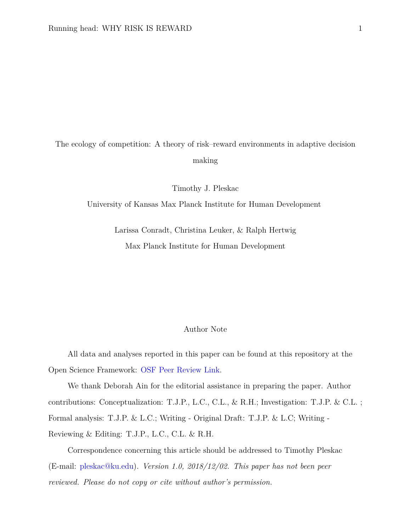The ecology of competition: A theory of risk–reward environments in adaptive decision making

Timothy J. Pleskac

University of Kansas Max Planck Institute for Human Development

Larissa Conradt, Christina Leuker, & Ralph Hertwig Max Planck Institute for Human Development

### Author Note

All data and analyses reported in this paper can be found at this repository at the Open Science Framework: [OSF Peer Review Link.](https://osf.io/jrv4y/?view_only=8dd53787940e4cb188992e442388e92b)

We thank Deborah Ain for the editorial assistance in preparing the paper. Author contributions: Conceptualization: T.J.P., L.C., C.L., & R.H.; Investigation: T.J.P. & C.L. ; Formal analysis: T.J.P. & L.C.; Writing - Original Draft: T.J.P. & L.C; Writing - Reviewing & Editing: T.J.P., L.C., C.L. & R.H.

Correspondence concerning this article should be addressed to Timothy Pleskac (E-mail: [pleskac@ku.edu\)](mailto:pleskac@ku.edu). *Version 1.0, 2018/12/02. This paper has not been peer reviewed. Please do not copy or cite without author's permission.*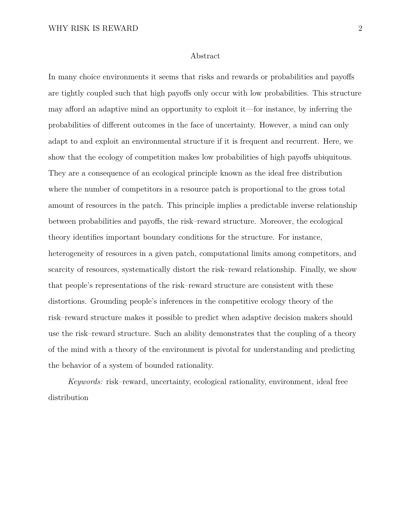#### Abstract

In many choice environments it seems that risks and rewards or probabilities and payoffs are tightly coupled such that high payoffs only occur with low probabilities. This structure may afford an adaptive mind an opportunity to exploit it—for instance, by inferring the probabilities of different outcomes in the face of uncertainty. However, a mind can only adapt to and exploit an environmental structure if it is frequent and recurrent. Here, we show that the ecology of competition makes low probabilities of high payoffs ubiquitous. They are a consequence of an ecological principle known as the ideal free distribution where the number of competitors in a resource patch is proportional to the gross total amount of resources in the patch. This principle implies a predictable inverse relationship between probabilities and payoffs, the risk–reward structure. Moreover, the ecological theory identifies important boundary conditions for the structure. For instance, heterogeneity of resources in a given patch, computational limits among competitors, and scarcity of resources, systematically distort the risk–reward relationship. Finally, we show that people's representations of the risk–reward structure are consistent with these distortions. Grounding people's inferences in the competitive ecology theory of the risk–reward structure makes it possible to predict when adaptive decision makers should use the risk–reward structure. Such an ability demonstrates that the coupling of a theory of the mind with a theory of the environment is pivotal for understanding and predicting the behavior of a system of bounded rationality.

*Keywords:* risk–reward, uncertainty, ecological rationality, environment, ideal free distribution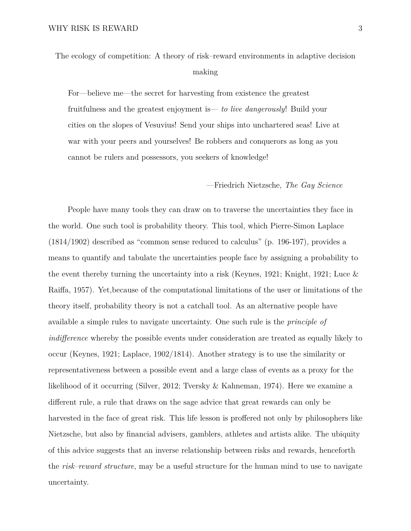For—believe me—the secret for harvesting from existence the greatest fruitfulness and the greatest enjoyment is— *to live dangerously*! Build your cities on the slopes of Vesuvius! Send your ships into unchartered seas! Live at war with your peers and yourselves! Be robbers and conquerors as long as you cannot be rulers and possessors, you seekers of knowledge!

#### —Friedrich Nietzsche, *The Gay Science*

People have many tools they can draw on to traverse the uncertainties they face in the world. One such tool is probability theory. This tool, which Pierre-Simon Laplace (1814/1902) described as "common sense reduced to calculus" (p. 196-197), provides a means to quantify and tabulate the uncertainties people face by assigning a probability to the event thereby turning the uncertainty into a risk [\(Keynes,](#page-41-0) [1921;](#page-41-0) [Knight,](#page-41-1) [1921;](#page-41-1) [Luce &](#page-42-0) [Raiffa,](#page-42-0) [1957\)](#page-42-0). Yet,because of the computational limitations of the user or limitations of the theory itself, probability theory is not a catchall tool. As an alternative people have available a simple rules to navigate uncertainty. One such rule is the *principle of indifference* whereby the possible events under consideration are treated as equally likely to occur (Keynes, 1921; Laplace, 1902/1814). Another strategy is to use the similarity or representativeness between a possible event and a large class of events as a proxy for the likelihood of it occurring [\(Silver,](#page-43-0) [2012;](#page-43-0) [Tversky & Kahneman,](#page-45-0) [1974\)](#page-45-0). Here we examine a different rule, a rule that draws on the sage advice that great rewards can only be harvested in the face of great risk. This life lesson is proffered not only by philosophers like Nietzsche, but also by financial advisers, gamblers, athletes and artists alike. The ubiquity of this advice suggests that an inverse relationship between risks and rewards, henceforth the *risk–reward structure*, may be a useful structure for the human mind to use to navigate uncertainty.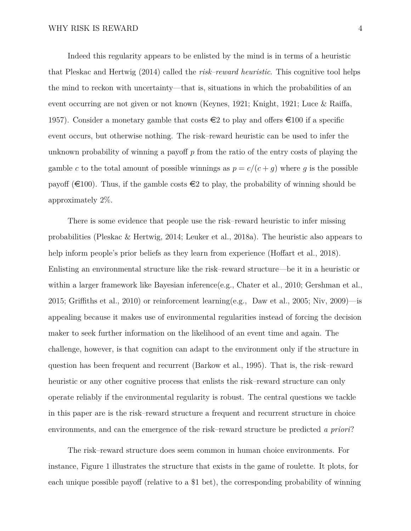Indeed this regularity appears to be enlisted by the mind is in terms of a heuristic that Pleskac and Hertwig [\(2014\)](#page-43-1) called the *risk–reward heuristic*. This cognitive tool helps the mind to reckon with uncertainty—that is, situations in which the probabilities of an event occurring are not given or not known [\(Keynes,](#page-41-0) [1921;](#page-41-0) [Knight,](#page-41-1) [1921;](#page-41-1) [Luce & Raiffa,](#page-42-0) [1957\)](#page-42-0). Consider a monetary gamble that costs  $\epsilon$  to play and offers  $\epsilon$ 100 if a specific event occurs, but otherwise nothing. The risk–reward heuristic can be used to infer the unknown probability of winning a payoff *p* from the ratio of the entry costs of playing the gamble *c* to the total amount of possible winnings as  $p = c/(c + g)$  where *g* is the possible payoff ( $\in$ 100). Thus, if the gamble costs  $\in$ 2 to play, the probability of winning should be approximately 2%.

There is some evidence that people use the risk–reward heuristic to infer missing probabilities [\(Pleskac & Hertwig,](#page-43-1) [2014;](#page-43-1) [Leuker et al.,](#page-41-2) [2018a\)](#page-41-2). The heuristic also appears to help inform people's prior beliefs as they learn from experience [\(Hoffart et al.,](#page-40-0) [2018\)](#page-40-0). Enlisting an environmental structure like the risk–reward structure—be it in a heuristic or within a larger framework like Bayesian inference(e.g., [Chater et al.,](#page-37-0) [2010;](#page-37-0) [Gershman et al.,](#page-38-0) [2015;](#page-38-0) [Griffiths et al.,](#page-39-0) [2010\)](#page-39-0) or reinforcement learning(e.g., [Daw et al.,](#page-37-1) [2005;](#page-37-1) [Niv,](#page-42-1) [2009\)](#page-42-1)—is appealing because it makes use of environmental regularities instead of forcing the decision maker to seek further information on the likelihood of an event time and again. The challenge, however, is that cognition can adapt to the environment only if the structure in question has been frequent and recurrent [\(Barkow et al.,](#page-36-0) [1995\)](#page-36-0). That is, the risk–reward heuristic or any other cognitive process that enlists the risk–reward structure can only operate reliably if the environmental regularity is robust. The central questions we tackle in this paper are is the risk–reward structure a frequent and recurrent structure in choice environments, and can the emergence of the risk–reward structure be predicted *a priori*?

The risk–reward structure does seem common in human choice environments. For instance, Figure [1](#page-4-0) illustrates the structure that exists in the game of roulette. It plots, for each unique possible payoff (relative to a \$1 bet), the corresponding probability of winning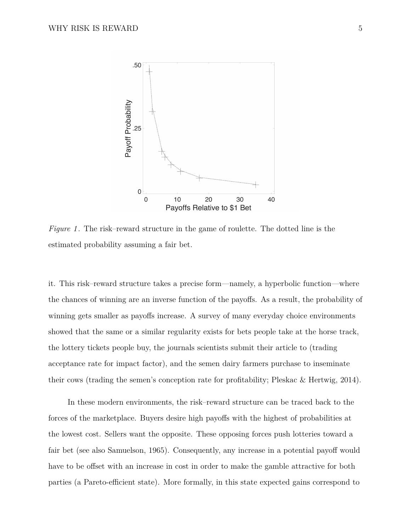<span id="page-4-0"></span>

*Figure 1* . The risk–reward structure in the game of roulette. The dotted line is the estimated probability assuming a fair bet.

it. This risk–reward structure takes a precise form—namely, a hyperbolic function—where the chances of winning are an inverse function of the payoffs. As a result, the probability of winning gets smaller as payoffs increase. A survey of many everyday choice environments showed that the same or a similar regularity exists for bets people take at the horse track, the lottery tickets people buy, the journals scientists submit their article to (trading acceptance rate for impact factor), and the semen dairy farmers purchase to inseminate their cows (trading the semen's conception rate for profitability; Pleskac & Hertwig, 2014).

In these modern environments, the risk–reward structure can be traced back to the forces of the marketplace. Buyers desire high payoffs with the highest of probabilities at the lowest cost. Sellers want the opposite. These opposing forces push lotteries toward a fair bet (see also [Samuelson,](#page-43-2) [1965\)](#page-43-2). Consequently, any increase in a potential payoff would have to be offset with an increase in cost in order to make the gamble attractive for both parties (a Pareto-efficient state). More formally, in this state expected gains correspond to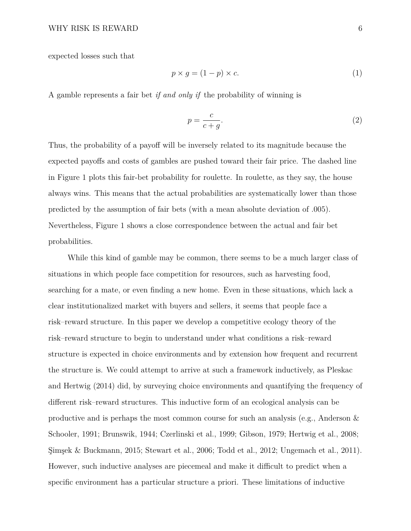expected losses such that

$$
p \times g = (1 - p) \times c. \tag{1}
$$

A gamble represents a fair bet *if and only if* the probability of winning is

$$
p = \frac{c}{c+g}.\tag{2}
$$

Thus, the probability of a payoff will be inversely related to its magnitude because the expected payoffs and costs of gambles are pushed toward their fair price. The dashed line in Figure [1](#page-4-0) plots this fair-bet probability for roulette. In roulette, as they say, the house always wins. This means that the actual probabilities are systematically lower than those predicted by the assumption of fair bets (with a mean absolute deviation of .005). Nevertheless, Figure [1](#page-4-0) shows a close correspondence between the actual and fair bet probabilities.

While this kind of gamble may be common, there seems to be a much larger class of situations in which people face competition for resources, such as harvesting food, searching for a mate, or even finding a new home. Even in these situations, which lack a clear institutionalized market with buyers and sellers, it seems that people face a risk–reward structure. In this paper we develop a competitive ecology theory of the risk–reward structure to begin to understand under what conditions a risk–reward structure is expected in choice environments and by extension how frequent and recurrent the structure is. We could attempt to arrive at such a framework inductively, as Pleskac and Hertwig (2014) did, by surveying choice environments and quantifying the frequency of different risk–reward structures. This inductive form of an ecological analysis can be productive and is perhaps the most common course for such an analysis (e.g., [Anderson &](#page-36-1) [Schooler,](#page-36-1) [1991;](#page-36-1) [Brunswik,](#page-36-2) [1944;](#page-36-2) [Czerlinski et al.,](#page-37-2) [1999;](#page-37-2) [Gibson,](#page-38-1) [1979;](#page-38-1) [Hertwig et al.,](#page-40-1) [2008;](#page-40-1) [Şimşek & Buckmann,](#page-44-0) [2015;](#page-44-0) [Stewart et al.,](#page-44-1) [2006;](#page-44-1) [Todd et al.,](#page-45-1) [2012;](#page-45-1) [Ungemach et al.,](#page-45-2) [2011\)](#page-45-2). However, such inductive analyses are piecemeal and make it difficult to predict when a specific environment has a particular structure a priori. These limitations of inductive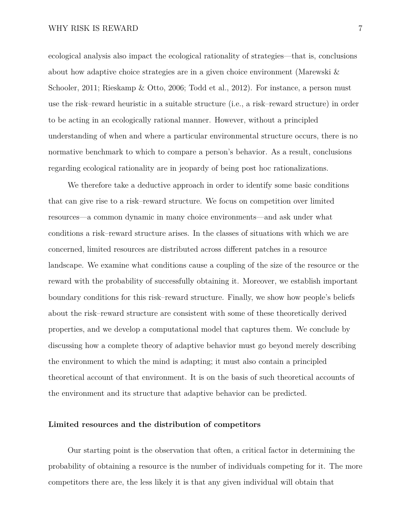ecological analysis also impact the ecological rationality of strategies—that is, conclusions about how adaptive choice strategies are in a given choice environment [\(Marewski &](#page-42-2) [Schooler,](#page-42-2) [2011;](#page-42-2) [Rieskamp & Otto,](#page-43-3) [2006;](#page-43-3) [Todd et al.,](#page-45-1) [2012\)](#page-45-1). For instance, a person must use the risk–reward heuristic in a suitable structure (i.e., a risk–reward structure) in order to be acting in an ecologically rational manner. However, without a principled understanding of when and where a particular environmental structure occurs, there is no normative benchmark to which to compare a person's behavior. As a result, conclusions regarding ecological rationality are in jeopardy of being post hoc rationalizations.

We therefore take a deductive approach in order to identify some basic conditions that can give rise to a risk–reward structure. We focus on competition over limited resources—a common dynamic in many choice environments—and ask under what conditions a risk–reward structure arises. In the classes of situations with which we are concerned, limited resources are distributed across different patches in a resource landscape. We examine what conditions cause a coupling of the size of the resource or the reward with the probability of successfully obtaining it. Moreover, we establish important boundary conditions for this risk–reward structure. Finally, we show how people's beliefs about the risk–reward structure are consistent with some of these theoretically derived properties, and we develop a computational model that captures them. We conclude by discussing how a complete theory of adaptive behavior must go beyond merely describing the environment to which the mind is adapting; it must also contain a principled theoretical account of that environment. It is on the basis of such theoretical accounts of the environment and its structure that adaptive behavior can be predicted.

#### **Limited resources and the distribution of competitors**

Our starting point is the observation that often, a critical factor in determining the probability of obtaining a resource is the number of individuals competing for it. The more competitors there are, the less likely it is that any given individual will obtain that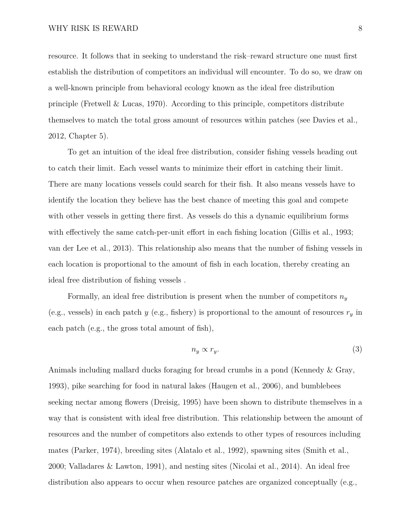resource. It follows that in seeking to understand the risk–reward structure one must first establish the distribution of competitors an individual will encounter. To do so, we draw on a well-known principle from behavioral ecology known as the ideal free distribution principle [\(Fretwell & Lucas,](#page-38-2) [1970\)](#page-38-2). According to this principle, competitors distribute themselves to match the total gross amount of resources within patches (see [Davies et al.,](#page-37-3) [2012,](#page-37-3) Chapter 5).

To get an intuition of the ideal free distribution, consider fishing vessels heading out to catch their limit. Each vessel wants to minimize their effort in catching their limit. There are many locations vessels could search for their fish. It also means vessels have to identify the location they believe has the best chance of meeting this goal and compete with other vessels in getting there first. As vessels do this a dynamic equilibrium forms with effectively the same catch-per-unit effort in each fishing location [\(Gillis et al.,](#page-39-1) [1993;](#page-39-1) [van der Lee et al.,](#page-45-3) [2013\)](#page-45-3). This relationship also means that the number of fishing vessels in each location is proportional to the amount of fish in each location, thereby creating an ideal free distribution of fishing vessels .

Formally, an ideal free distribution is present when the number of competitors  $n_y$ (e.g., vessels) in each patch *y* (e.g., fishery) is proportional to the amount of resources  $r_y$  in each patch (e.g., the gross total amount of fish),

<span id="page-7-0"></span>
$$
n_y \propto r_y. \tag{3}
$$

Animals including mallard ducks foraging for bread crumbs in a pond [\(Kennedy & Gray,](#page-41-3) [1993\)](#page-41-3), pike searching for food in natural lakes [\(Haugen et al.,](#page-39-2) [2006\)](#page-39-2), and bumblebees seeking nectar among flowers [\(Dreisig,](#page-37-4) [1995\)](#page-37-4) have been shown to distribute themselves in a way that is consistent with ideal free distribution. This relationship between the amount of resources and the number of competitors also extends to other types of resources including mates [\(Parker,](#page-42-3) [1974\)](#page-42-3), breeding sites [\(Alatalo et al.,](#page-36-3) [1992\)](#page-36-3), spawning sites [\(Smith et al.,](#page-44-2) [2000;](#page-44-2) [Valladares & Lawton,](#page-45-4) [1991\)](#page-45-4), and nesting sites [\(Nicolai et al.,](#page-42-4) [2014\)](#page-42-4). An ideal free distribution also appears to occur when resource patches are organized conceptually (e.g.,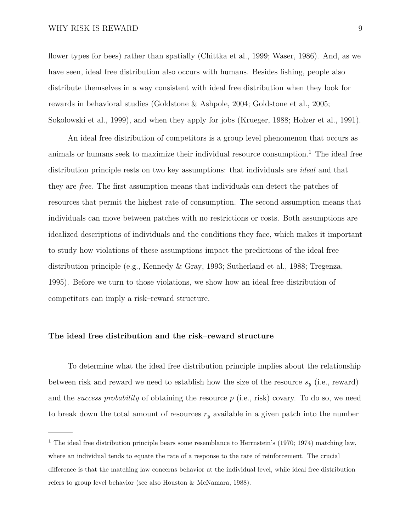#### WHY RISK IS REWARD 9

flower types for bees) rather than spatially [\(Chittka et al.,](#page-37-5) [1999;](#page-37-5) [Waser,](#page-45-5) [1986\)](#page-45-5). And, as we have seen, ideal free distribution also occurs with humans. Besides fishing, people also distribute themselves in a way consistent with ideal free distribution when they look for rewards in behavioral studies [\(Goldstone & Ashpole,](#page-39-3) [2004;](#page-39-3) [Goldstone et al.,](#page-39-4) [2005;](#page-39-4) [Sokolowski et al.,](#page-44-3) [1999\)](#page-44-3), and when they apply for jobs [\(Krueger,](#page-41-4) [1988;](#page-41-4) [Holzer et al.,](#page-40-2) [1991\)](#page-40-2).

An ideal free distribution of competitors is a group level phenomenon that occurs as animals or humans seek to maximize their individual resource consumption.<sup>[1](#page-8-0)</sup> The ideal free distribution principle rests on two key assumptions: that individuals are *ideal* and that they are *free*. The first assumption means that individuals can detect the patches of resources that permit the highest rate of consumption. The second assumption means that individuals can move between patches with no restrictions or costs. Both assumptions are idealized descriptions of individuals and the conditions they face, which makes it important to study how violations of these assumptions impact the predictions of the ideal free distribution principle (e.g., [Kennedy & Gray,](#page-41-3) [1993;](#page-41-3) [Sutherland et al.,](#page-44-4) [1988;](#page-44-4) [Tregenza,](#page-45-6) [1995\)](#page-45-6). Before we turn to those violations, we show how an ideal free distribution of competitors can imply a risk–reward structure.

#### **The ideal free distribution and the risk–reward structure**

To determine what the ideal free distribution principle implies about the relationship between risk and reward we need to establish how the size of the resource  $s_y$  (i.e., reward) and the *success probability* of obtaining the resource *p* (i.e., risk) covary. To do so, we need to break down the total amount of resources  $r_y$  available in a given patch into the number

<span id="page-8-0"></span><sup>&</sup>lt;sup>1</sup> The ideal free distribution principle bears some resemblance to Herrnstein's [\(1970;](#page-40-3) [1974\)](#page-40-4) matching law, where an individual tends to equate the rate of a response to the rate of reinforcement. The crucial difference is that the matching law concerns behavior at the individual level, while ideal free distribution refers to group level behavior (see also [Houston & McNamara,](#page-40-5) [1988\)](#page-40-5).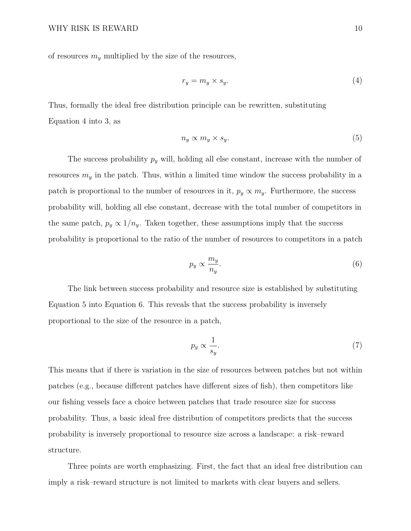of resources  $m_y$  multiplied by the size of the resources,

<span id="page-9-0"></span>
$$
r_y = m_y \times s_y. \tag{4}
$$

Thus, formally the ideal free distribution principle can be rewritten, substituting Equation [4](#page-9-0) into [3,](#page-7-0) as

<span id="page-9-1"></span>
$$
n_y \propto m_y \times s_y. \tag{5}
$$

The success probability *p<sup>y</sup>* will, holding all else constant, increase with the number of resources  $m_y$  in the patch. Thus, within a limited time window the success probability in a patch is proportional to the number of resources in it,  $p_y \propto m_y$ . Furthermore, the success probability will, holding all else constant, decrease with the total number of competitors in the same patch,  $p_y \propto 1/n_y$ . Taken together, these assumptions imply that the success probability is proportional to the ratio of the number of resources to competitors in a patch

<span id="page-9-2"></span>
$$
p_y \propto \frac{m_y}{n_y}.\tag{6}
$$

The link between success probability and resource size is established by substituting Equation [5](#page-9-1) into Equation [6.](#page-9-2) This reveals that the success probability is inversely proportional to the size of the resource in a patch,

$$
p_y \propto \frac{1}{s_y}.\tag{7}
$$

This means that if there is variation in the size of resources between patches but not within patches (e.g., because different patches have different sizes of fish), then competitors like our fishing vessels face a choice between patches that trade resource size for success probability. Thus, a basic ideal free distribution of competitors predicts that the success probability is inversely proportional to resource size across a landscape: a risk–reward structure.

Three points are worth emphasizing. First, the fact that an ideal free distribution can imply a risk–reward structure is not limited to markets with clear buyers and sellers.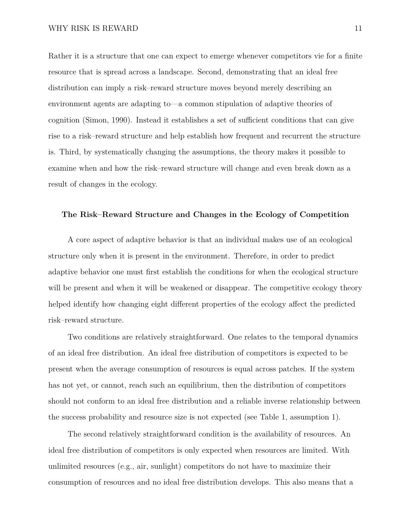Rather it is a structure that one can expect to emerge whenever competitors vie for a finite resource that is spread across a landscape. Second, demonstrating that an ideal free distribution can imply a risk–reward structure moves beyond merely describing an environment agents are adapting to—a common stipulation of adaptive theories of cognition [\(Simon,](#page-44-5) [1990\)](#page-44-5). Instead it establishes a set of sufficient conditions that can give rise to a risk–reward structure and help establish how frequent and recurrent the structure is. Third, by systematically changing the assumptions, the theory makes it possible to examine when and how the risk–reward structure will change and even break down as a result of changes in the ecology.

#### **The Risk–Reward Structure and Changes in the Ecology of Competition**

A core aspect of adaptive behavior is that an individual makes use of an ecological structure only when it is present in the environment. Therefore, in order to predict adaptive behavior one must first establish the conditions for when the ecological structure will be present and when it will be weakened or disappear. The competitive ecology theory helped identify how changing eight different properties of the ecology affect the predicted risk–reward structure.

Two conditions are relatively straightforward. One relates to the temporal dynamics of an ideal free distribution. An ideal free distribution of competitors is expected to be present when the average consumption of resources is equal across patches. If the system has not yet, or cannot, reach such an equilibrium, then the distribution of competitors should not conform to an ideal free distribution and a reliable inverse relationship between the success probability and resource size is not expected (see Table [1,](#page-12-0) assumption 1).

The second relatively straightforward condition is the availability of resources. An ideal free distribution of competitors is only expected when resources are limited. With unlimited resources (e.g., air, sunlight) competitors do not have to maximize their consumption of resources and no ideal free distribution develops. This also means that a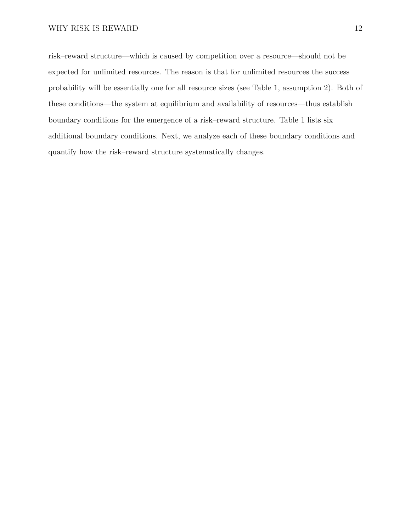risk–reward structure—which is caused by competition over a resource—should not be expected for unlimited resources. The reason is that for unlimited resources the success probability will be essentially one for all resource sizes (see Table [1,](#page-12-0) assumption 2). Both of these conditions—the system at equilibrium and availability of resources—thus establish boundary conditions for the emergence of a risk–reward structure. Table [1](#page-12-0) lists six additional boundary conditions. Next, we analyze each of these boundary conditions and quantify how the risk–reward structure systematically changes.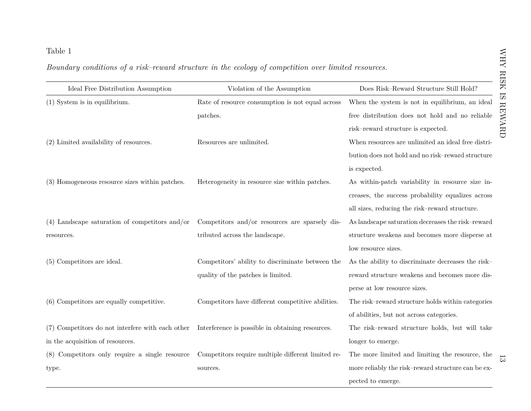<span id="page-12-0"></span>

| Ideal Free Distribution Assumption               | Violation of the Assumption                        | Does Risk-Reward Structure Still Hold?             |
|--------------------------------------------------|----------------------------------------------------|----------------------------------------------------|
| $(1)$ System is in equilibrium.                  | Rate of resource consumption is not equal across   | When the system is not in equilibrium, an ideal    |
|                                                  | patches.                                           | free distribution does not hold and no reliable    |
|                                                  |                                                    | risk-reward structure is expected.                 |
| $(2)$ Limited availability of resources.         | Resources are unlimited.                           | When resources are unlimited an ideal free distri- |
|                                                  |                                                    | bution does not hold and no risk-reward structure  |
|                                                  |                                                    | is expected.                                       |
| (3) Homogeneous resource sizes within patches.   | Heterogeneity in resource size within patches.     | As within-patch variability in resource size in-   |
|                                                  |                                                    | creases, the success probability equalizes across  |
|                                                  |                                                    | all sizes, reducing the risk-reward structure.     |
| $(4)$ Landscape saturation of competitors and/or | Competitors and/or resources are sparsely dis-     | As landscape saturation decreases the risk-reward  |
| resources.                                       | tributed across the landscape.                     | structure weakens and becomes more disperse at     |
|                                                  |                                                    | low resource sizes.                                |
| (5) Competitors are ideal.                       | Competitors' ability to discriminate between the   | As the ability to discriminate decreases the risk- |
|                                                  | quality of the patches is limited.                 | reward structure weakens and becomes more dis-     |
|                                                  |                                                    | perse at low resource sizes.                       |
| $(6)$ Competitors are equally competitive.       | Competitors have different competitive abilities.  | The risk-reward structure holds within categories  |
|                                                  |                                                    | of abilities, but not across categories.           |
| (7) Competitors do not interfere with each other | Interference is possible in obtaining resources.   | The risk-reward structure holds, but will take     |
| in the acquisition of resources.                 |                                                    | longer to emerge.                                  |
| (8) Competitors only require a single resource   | Competitors require multiple different limited re- | The more limited and limiting the resource, the    |
| type.                                            | sources.                                           | more reliably the risk-reward structure can be ex- |
|                                                  |                                                    | pected to emerge.                                  |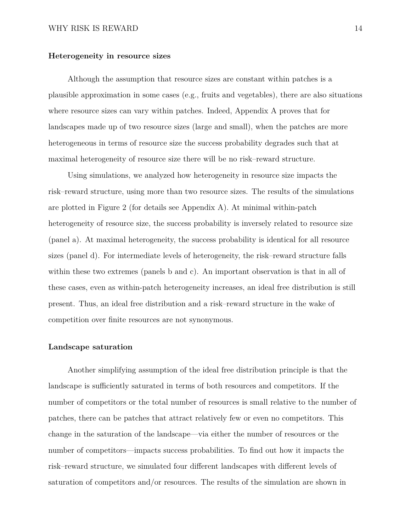#### **Heterogeneity in resource sizes**

Although the assumption that resource sizes are constant within patches is a plausible approximation in some cases (e.g., fruits and vegetables), there are also situations where resource sizes can vary within patches. Indeed, Appendix [A](#page-46-0) proves that for landscapes made up of two resource sizes (large and small), when the patches are more heterogeneous in terms of resource size the success probability degrades such that at maximal heterogeneity of resource size there will be no risk–reward structure.

Using simulations, we analyzed how heterogeneity in resource size impacts the risk–reward structure, using more than two resource sizes. The results of the simulations are plotted in Figure [2](#page-14-0) (for details see Appendix [A\)](#page-46-0). At minimal within-patch heterogeneity of resource size, the success probability is inversely related to resource size (panel a). At maximal heterogeneity, the success probability is identical for all resource sizes (panel d). For intermediate levels of heterogeneity, the risk–reward structure falls within these two extremes (panels b and c). An important observation is that in all of these cases, even as within-patch heterogeneity increases, an ideal free distribution is still present. Thus, an ideal free distribution and a risk–reward structure in the wake of competition over finite resources are not synonymous.

#### **Landscape saturation**

Another simplifying assumption of the ideal free distribution principle is that the landscape is sufficiently saturated in terms of both resources and competitors. If the number of competitors or the total number of resources is small relative to the number of patches, there can be patches that attract relatively few or even no competitors. This change in the saturation of the landscape—via either the number of resources or the number of competitors—impacts success probabilities. To find out how it impacts the risk–reward structure, we simulated four different landscapes with different levels of saturation of competitors and/or resources. The results of the simulation are shown in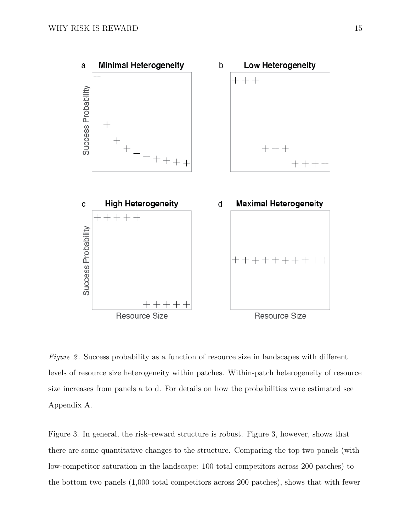<span id="page-14-0"></span>

*Figure 2*. Success probability as a function of resource size in landscapes with different levels of resource size heterogeneity within patches. Within-patch heterogeneity of resource size increases from panels a to d. For details on how the probabilities were estimated see Appendix [A.](#page-46-0)

Figure [3.](#page-16-0) In general, the risk–reward structure is robust. Figure [3,](#page-16-0) however, shows that there are some quantitative changes to the structure. Comparing the top two panels (with low-competitor saturation in the landscape: 100 total competitors across 200 patches) to the bottom two panels (1,000 total competitors across 200 patches), shows that with fewer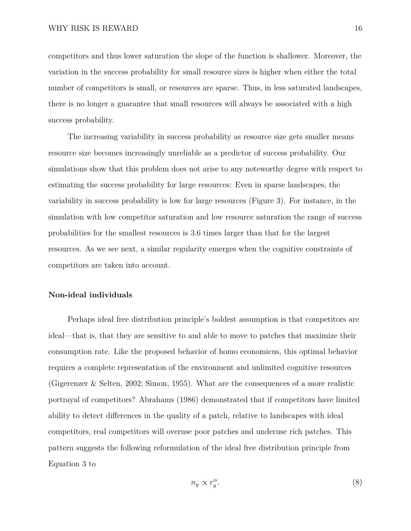competitors and thus lower saturation the slope of the function is shallower. Moreover, the variation in the success probability for small resource sizes is higher when either the total number of competitors is small, or resources are sparse. Thus, in less saturated landscapes, there is no longer a guarantee that small resources will always be associated with a high success probability.

The increasing variability in success probability as resource size gets smaller means resource size becomes increasingly unreliable as a predictor of success probability. Our simulations show that this problem does not arise to any noteworthy degree with respect to estimating the success probability for large resources: Even in sparse landscapes, the variability in success probability is low for large resources (Figure [3\)](#page-16-0). For instance, in the simulation with low competitor saturation and low resource saturation the range of success probabilities for the smallest resources is 3.6 times larger than that for the largest resources. As we see next, a similar regularity emerges when the cognitive constraints of competitors are taken into account.

#### **Non-ideal individuals**

Perhaps ideal free distribution principle's boldest assumption is that competitors are ideal—that is, that they are sensitive to and able to move to patches that maximize their consumption rate. Like the proposed behavior of homo economicus, this optimal behavior requires a complete representation of the environment and unlimited cognitive resources [\(Gigerenzer & Selten,](#page-38-3) [2002;](#page-38-3) [Simon,](#page-43-4) [1955\)](#page-43-4). What are the consequences of a more realistic portrayal of competitors? [Abrahams](#page-36-4) [\(1986\)](#page-36-4) demonstrated that if competitors have limited ability to detect differences in the quality of a patch, relative to landscapes with ideal competitors, real competitors will overuse poor patches and underuse rich patches. This pattern suggests the following reformulation of the ideal free distribution principle from Equation [3](#page-7-0) to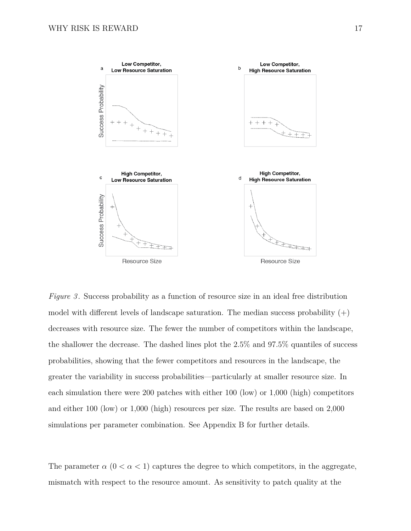<span id="page-16-0"></span>

*Figure 3* . Success probability as a function of resource size in an ideal free distribution model with different levels of landscape saturation. The median success probability  $(+)$ decreases with resource size. The fewer the number of competitors within the landscape, the shallower the decrease. The dashed lines plot the 2.5% and 97.5% quantiles of success probabilities, showing that the fewer competitors and resources in the landscape, the greater the variability in success probabilities—particularly at smaller resource size. In each simulation there were 200 patches with either 100 (low) or 1,000 (high) competitors and either 100 (low) or 1,000 (high) resources per size. The results are based on 2,000 simulations per parameter combination. See Appendix [B](#page-52-0) for further details.

The parameter  $\alpha$  ( $0 < \alpha < 1$ ) captures the degree to which competitors, in the aggregate, mismatch with respect to the resource amount. As sensitivity to patch quality at the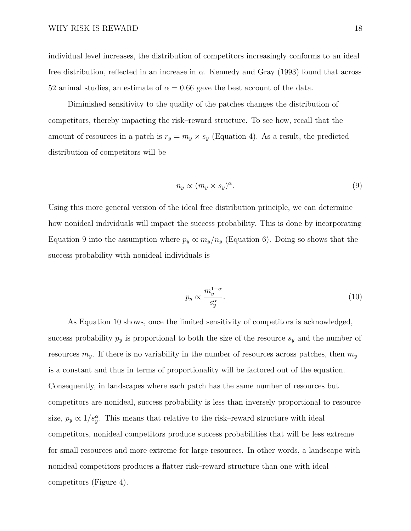individual level increases, the distribution of competitors increasingly conforms to an ideal free distribution, reflected in an increase in *α*. Kennedy and Gray [\(1993\)](#page-41-3) found that across 52 animal studies, an estimate of  $\alpha = 0.66$  gave the best account of the data.

Diminished sensitivity to the quality of the patches changes the distribution of competitors, thereby impacting the risk–reward structure. To see how, recall that the amount of resources in a patch is  $r_y = m_y \times s_y$  (Equation [4\)](#page-9-0). As a result, the predicted distribution of competitors will be

<span id="page-17-0"></span>
$$
n_y \propto (m_y \times s_y)^{\alpha}.\tag{9}
$$

Using this more general version of the ideal free distribution principle, we can determine how nonideal individuals will impact the success probability. This is done by incorporating Equation [9](#page-17-0) into the assumption where  $p_y \propto m_y/n_y$  (Equation [6\)](#page-9-2). Doing so shows that the success probability with nonideal individuals is

<span id="page-17-1"></span>
$$
p_y \propto \frac{m_y^{1-\alpha}}{s_y^{\alpha}}.\tag{10}
$$

As Equation [10](#page-17-1) shows, once the limited sensitivity of competitors is acknowledged, success probability  $p_y$  is proportional to both the size of the resource  $s_y$  and the number of resources  $m_y$ . If there is no variability in the number of resources across patches, then  $m_y$ is a constant and thus in terms of proportionality will be factored out of the equation. Consequently, in landscapes where each patch has the same number of resources but competitors are nonideal, success probability is less than inversely proportional to resource size,  $p_y \propto 1/s_y^{\alpha}$ . This means that relative to the risk–reward structure with ideal competitors, nonideal competitors produce success probabilities that will be less extreme for small resources and more extreme for large resources. In other words, a landscape with nonideal competitors produces a flatter risk–reward structure than one with ideal competitors (Figure [4\)](#page-18-0).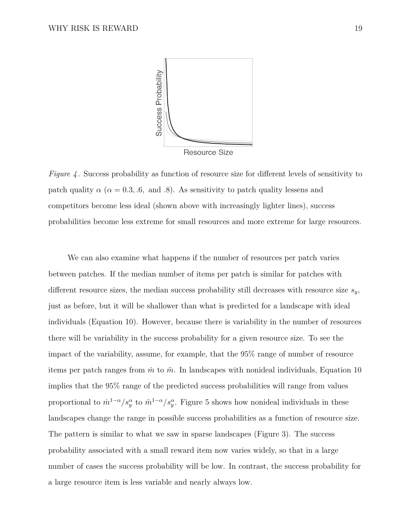<span id="page-18-0"></span>

*Figure 4*. Success probability as function of resource size for different levels of sensitivity to patch quality  $\alpha$  ( $\alpha = 0.3, .6,$  and *.*8). As sensitivity to patch quality lessens and competitors become less ideal (shown above with increasingly lighter lines), success probabilities become less extreme for small resources and more extreme for large resources.

We can also examine what happens if the number of resources per patch varies between patches. If the median number of items per patch is similar for patches with different resource sizes, the median success probability still decreases with resource size *sy*, just as before, but it will be shallower than what is predicted for a landscape with ideal individuals (Equation [10\)](#page-17-1). However, because there is variability in the number of resources there will be variability in the success probability for a given resource size. To see the impact of the variability, assume, for example, that the 95% range of number of resource items per patch ranges from  $\dot{m}$  to  $\ddot{m}$ . In landscapes with nonideal individuals, Equation [10](#page-17-1) implies that the 95% range of the predicted success probabilities will range from values proportional to  $\dot{m}^{1-\alpha}/s_y^{\alpha}$  to  $\ddot{m}^{1-\alpha}/s_y^{\alpha}$ . Figure [5](#page-19-0) shows how nonideal individuals in these landscapes change the range in possible success probabilities as a function of resource size. The pattern is similar to what we saw in sparse landscapes (Figure [3\)](#page-16-0). The success probability associated with a small reward item now varies widely, so that in a large number of cases the success probability will be low. In contrast, the success probability for a large resource item is less variable and nearly always low.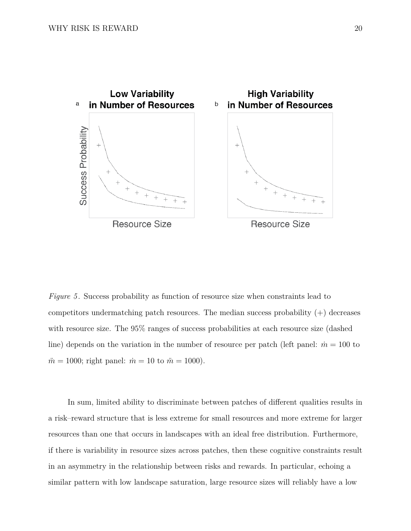<span id="page-19-0"></span>

*Figure 5*. Success probability as function of resource size when constraints lead to competitors undermatching patch resources. The median success probability  $(+)$  decreases with resource size. The 95% ranges of success probabilities at each resource size (dashed line) depends on the variation in the number of resource per patch (left panel:  $\dot{m} = 100$  to  $\ddot{m} = 1000$ ; right panel:  $\dot{m} = 10$  to  $\ddot{m} = 1000$ ).

In sum, limited ability to discriminate between patches of different qualities results in a risk–reward structure that is less extreme for small resources and more extreme for larger resources than one that occurs in landscapes with an ideal free distribution. Furthermore, if there is variability in resource sizes across patches, then these cognitive constraints result in an asymmetry in the relationship between risks and rewards. In particular, echoing a similar pattern with low landscape saturation, large resource sizes will reliably have a low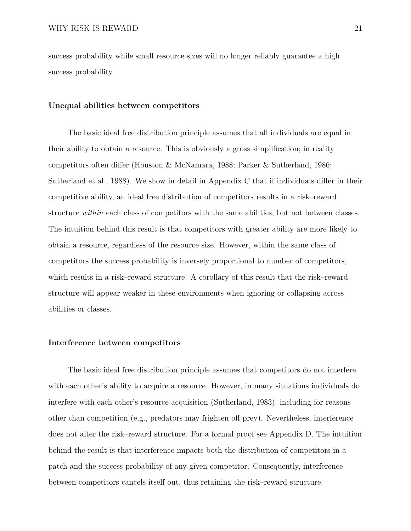success probability while small resource sizes will no longer reliably guarantee a high success probability.

#### **Unequal abilities between competitors**

The basic ideal free distribution principle assumes that all individuals are equal in their ability to obtain a resource. This is obviously a gross simplification; in reality competitors often differ [\(Houston & McNamara,](#page-40-5) [1988;](#page-40-5) [Parker & Sutherland,](#page-42-5) [1986;](#page-42-5) [Sutherland et al.,](#page-44-4) [1988\)](#page-44-4). We show in detail in Appendix [C](#page-55-0) that if individuals differ in their competitive ability, an ideal free distribution of competitors results in a risk–reward structure *within* each class of competitors with the same abilities, but not between classes. The intuition behind this result is that competitors with greater ability are more likely to obtain a resource, regardless of the resource size. However, within the same class of competitors the success probability is inversely proportional to number of competitors, which results in a risk–reward structure. A corollary of this result that the risk–reward structure will appear weaker in these environments when ignoring or collapsing across abilities or classes.

#### **Interference between competitors**

The basic ideal free distribution principle assumes that competitors do not interfere with each other's ability to acquire a resource. However, in many situations individuals do interfere with each other's resource acquisition [\(Sutherland,](#page-44-6) [1983\)](#page-44-6), including for reasons other than competition (e.g., predators may frighten off prey). Nevertheless, interference does not alter the risk–reward structure. For a formal proof see Appendix [D.](#page-58-0) The intuition behind the result is that interference impacts both the distribution of competitors in a patch and the success probability of any given competitor. Consequently, interference between competitors cancels itself out, thus retaining the risk–reward structure.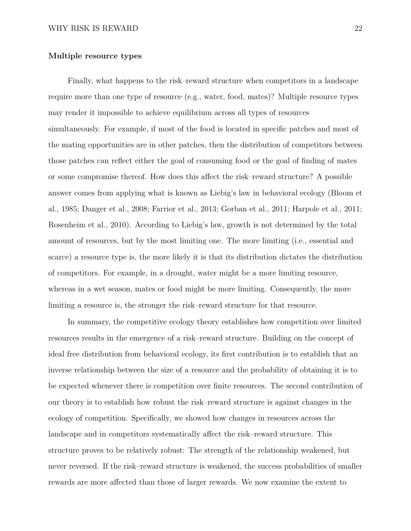#### **Multiple resource types**

Finally, what happens to the risk–reward structure when competitors in a landscape require more than one type of resource (e.g., water, food, mates)? Multiple resource types may render it impossible to achieve equilibrium across all types of resources simultaneously. For example, if most of the food is located in specific patches and most of the mating opportunities are in other patches, then the distribution of competitors between those patches can reflect either the goal of consuming food or the goal of finding of mates or some compromise thereof. How does this affect the risk–reward structure? A possible answer comes from applying what is known as Liebig's law in behavioral ecology [\(Bloom et](#page-36-5) [al.,](#page-36-5) [1985;](#page-36-5) [Danger et al.,](#page-37-6) [2008;](#page-37-6) [Farrior et al.,](#page-37-7) [2013;](#page-37-7) [Gorban et al.,](#page-39-5) [2011;](#page-39-5) [Harpole et al.,](#page-39-6) [2011;](#page-39-6) [Rosenheim et al.,](#page-43-5) [2010\)](#page-43-5). According to Liebig's law, growth is not determined by the total amount of resources, but by the most limiting one. The more limiting (i.e., essential and scarce) a resource type is, the more likely it is that its distribution dictates the distribution of competitors. For example, in a drought, water might be a more limiting resource, whereas in a wet season, mates or food might be more limiting. Consequently, the more limiting a resource is, the stronger the risk–reward structure for that resource.

In summary, the competitive ecology theory establishes how competition over limited resources results in the emergence of a risk–reward structure. Building on the concept of ideal free distribution from behavioral ecology, its first contribution is to establish that an inverse relationship between the size of a resource and the probability of obtaining it is to be expected whenever there is competition over finite resources. The second contribution of our theory is to establish how robust the risk–reward structure is against changes in the ecology of competition. Specifically, we showed how changes in resources across the landscape and in competitors systematically affect the risk–reward structure. This structure proves to be relatively robust: The strength of the relationship weakened, but never reversed. If the risk–reward structure is weakened, the success probabilities of smaller rewards are more affected than those of larger rewards. We now examine the extent to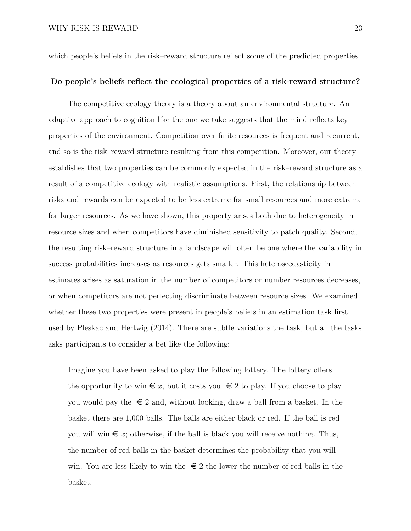which people's beliefs in the risk–reward structure reflect some of the predicted properties.

### **Do people's beliefs reflect the ecological properties of a risk-reward structure?**

The competitive ecology theory is a theory about an environmental structure. An adaptive approach to cognition like the one we take suggests that the mind reflects key properties of the environment. Competition over finite resources is frequent and recurrent, and so is the risk–reward structure resulting from this competition. Moreover, our theory establishes that two properties can be commonly expected in the risk–reward structure as a result of a competitive ecology with realistic assumptions. First, the relationship between risks and rewards can be expected to be less extreme for small resources and more extreme for larger resources. As we have shown, this property arises both due to heterogeneity in resource sizes and when competitors have diminished sensitivity to patch quality. Second, the resulting risk–reward structure in a landscape will often be one where the variability in success probabilities increases as resources gets smaller. This heteroscedasticity in estimates arises as saturation in the number of competitors or number resources decreases, or when competitors are not perfecting discriminate between resource sizes. We examined whether these two properties were present in people's beliefs in an estimation task first used by Pleskac and Hertwig [\(2014\)](#page-43-1). There are subtle variations the task, but all the tasks asks participants to consider a bet like the following:

Imagine you have been asked to play the following lottery. The lottery offers the opportunity to win  $\epsilon x$ , but it costs you  $\epsilon 2$  to play. If you choose to play you would pay the  $\epsilon \in 2$  and, without looking, draw a ball from a basket. In the basket there are 1,000 balls. The balls are either black or red. If the ball is red you will win  $\epsilon x$ ; otherwise, if the ball is black you will receive nothing. Thus, the number of red balls in the basket determines the probability that you will win. You are less likely to win the  $\epsilon \in 2$  the lower the number of red balls in the basket.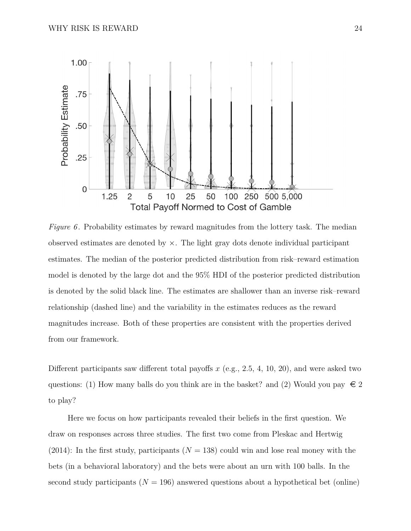<span id="page-23-0"></span>

*Figure 6*. Probability estimates by reward magnitudes from the lottery task. The median observed estimates are denoted by  $\times$ . The light gray dots denote individual participant estimates. The median of the posterior predicted distribution from risk–reward estimation model is denoted by the large dot and the 95% HDI of the posterior predicted distribution is denoted by the solid black line. The estimates are shallower than an inverse risk–reward relationship (dashed line) and the variability in the estimates reduces as the reward magnitudes increase. Both of these properties are consistent with the properties derived from our framework.

Different participants saw different total payoffs *x* (e.g., 2.5, 4, 10, 20), and were asked two questions: (1) How many balls do you think are in the basket? and (2) Would you pay  $\epsilon \in \mathbb{Z}$ to play?

Here we focus on how participants revealed their beliefs in the first question. We draw on responses across three studies. The first two come from Pleskac and Hertwig [\(2014\)](#page-43-1): In the first study, participants  $(N = 138)$  could win and lose real money with the bets (in a behavioral laboratory) and the bets were about an urn with 100 balls. In the second study participants  $(N = 196)$  answered questions about a hypothetical bet (online)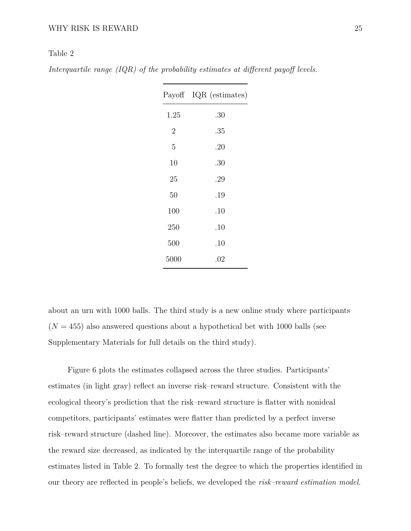#### <span id="page-24-0"></span>Table 2

*Interquartile range (IQR) of the probability estimates at different payoff levels.*

|                | Payoff IQR (estimates) |
|----------------|------------------------|
| 1.25           | .30                    |
| $\overline{2}$ | .35                    |
| 5              | .20                    |
| 10             | .30                    |
| 25             | .29                    |
| 50             | .19                    |
| 100            | .10                    |
| 250            | .10                    |
| 500            | .10                    |
| 5000           | .02                    |

about an urn with 1000 balls. The third study is a new online study where participants  $(N = 455)$  also answered questions about a hypothetical bet with 1000 balls (see Supplementary Materials for full details on the third study).

Figure [6](#page-23-0) plots the estimates collapsed across the three studies. Participants' estimates (in light gray) reflect an inverse risk–reward structure. Consistent with the ecological theory's prediction that the risk–reward structure is flatter with nonideal competitors, participants' estimates were flatter than predicted by a perfect inverse risk–reward structure (dashed line). Moreover, the estimates also became more variable as the reward size decreased, as indicated by the interquartile range of the probability estimates listed in Table [2.](#page-24-0) To formally test the degree to which the properties identified in our theory are reflected in people's beliefs, we developed the *risk–reward estimation model*.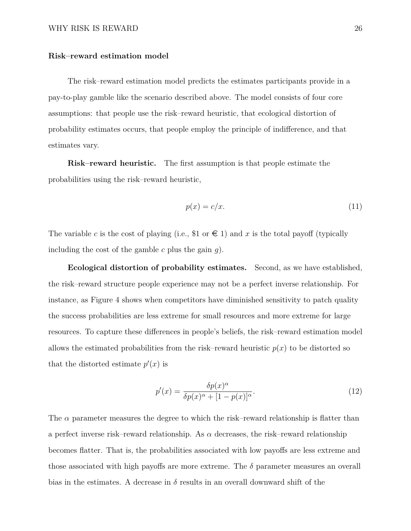#### **Risk–reward estimation model**

The risk–reward estimation model predicts the estimates participants provide in a pay-to-play gamble like the scenario described above. The model consists of four core assumptions: that people use the risk–reward heuristic, that ecological distortion of probability estimates occurs, that people employ the principle of indifference, and that estimates vary.

**Risk–reward heuristic.** The first assumption is that people estimate the probabilities using the risk–reward heuristic,

$$
p(x) = c/x.
$$
\n<sup>(11)</sup>

The variable c is the cost of playing (i.e., \$1 or  $\in$  1) and x is the total payoff (typically including the cost of the gamble *c* plus the gain *g*).

**Ecological distortion of probability estimates.** Second, as we have established, the risk–reward structure people experience may not be a perfect inverse relationship. For instance, as Figure [4](#page-18-0) shows when competitors have diminished sensitivity to patch quality the success probabilities are less extreme for small resources and more extreme for large resources. To capture these differences in people's beliefs, the risk–reward estimation model allows the estimated probabilities from the risk–reward heuristic  $p(x)$  to be distorted so that the distorted estimate  $p'(x)$  is

$$
p'(x) = \frac{\delta p(x)^{\alpha}}{\delta p(x)^{\alpha} + [1 - p(x)]^{\alpha}}.
$$
\n(12)

The *α* parameter measures the degree to which the risk–reward relationship is flatter than a perfect inverse risk–reward relationship. As  $\alpha$  decreases, the risk–reward relationship becomes flatter. That is, the probabilities associated with low payoffs are less extreme and those associated with high payoffs are more extreme. The  $\delta$  parameter measures an overall bias in the estimates. A decrease in  $\delta$  results in an overall downward shift of the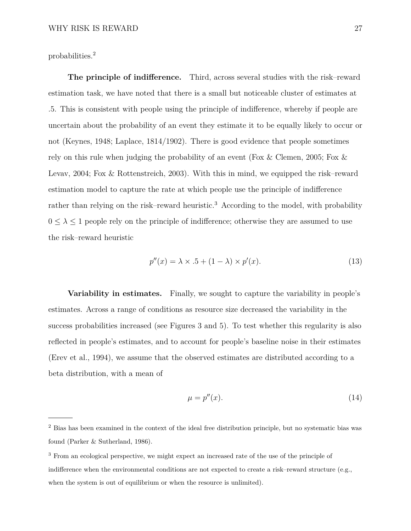probabilities.[2](#page-26-0)

**The principle of indifference.** Third, across several studies with the risk–reward estimation task, we have noted that there is a small but noticeable cluster of estimates at .5. This is consistent with people using the principle of indifference, whereby if people are uncertain about the probability of an event they estimate it to be equally likely to occur or not (Keynes, 1948; Laplace, 1814/1902). There is good evidence that people sometimes rely on this rule when judging the probability of an event [\(Fox & Clemen,](#page-38-4) [2005;](#page-38-4) [Fox &](#page-38-5) [Levav,](#page-38-5) [2004;](#page-38-5) [Fox & Rottenstreich,](#page-38-6) [2003\)](#page-38-6). With this in mind, we equipped the risk–reward estimation model to capture the rate at which people use the principle of indifference rather than relying on the risk–reward heuristic.<sup>[3](#page-26-1)</sup> According to the model, with probability  $0 \leq \lambda \leq 1$  people rely on the principle of indifference; otherwise they are assumed to use the risk–reward heuristic

$$
p''(x) = \lambda \times .5 + (1 - \lambda) \times p'(x). \tag{13}
$$

**Variability in estimates.** Finally, we sought to capture the variability in people's estimates. Across a range of conditions as resource size decreased the variability in the success probabilities increased (see Figures [3](#page-16-0) and [5\)](#page-19-0). To test whether this regularity is also reflected in people's estimates, and to account for people's baseline noise in their estimates [\(Erev et al.,](#page-37-8) [1994\)](#page-37-8), we assume that the observed estimates are distributed according to a beta distribution, with a mean of

$$
\mu = p''(x). \tag{14}
$$

<span id="page-26-0"></span><sup>&</sup>lt;sup>2</sup> Bias has been examined in the context of the ideal free distribution principle, but no systematic bias was found [\(Parker & Sutherland,](#page-42-5) [1986\)](#page-42-5).

<span id="page-26-1"></span><sup>3</sup> From an ecological perspective, we might expect an increased rate of the use of the principle of indifference when the environmental conditions are not expected to create a risk–reward structure (e.g., when the system is out of equilibrium or when the resource is unlimited).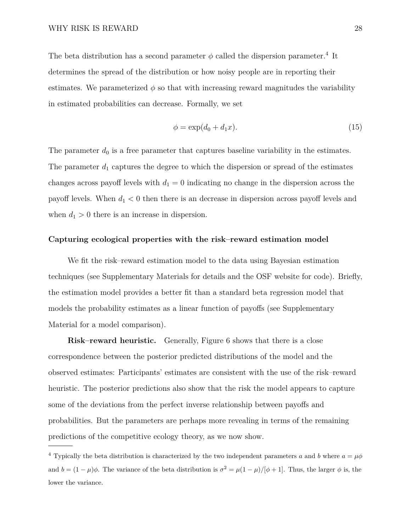The beta distribution has a second parameter  $\phi$  called the dispersion parameter.<sup>[4](#page-27-0)</sup> It determines the spread of the distribution or how noisy people are in reporting their estimates. We parameterized  $\phi$  so that with increasing reward magnitudes the variability in estimated probabilities can decrease. Formally, we set

$$
\phi = \exp(d_0 + d_1 x). \tag{15}
$$

The parameter  $d_0$  is a free parameter that captures baseline variability in the estimates. The parameter  $d_1$  captures the degree to which the dispersion or spread of the estimates changes across payoff levels with  $d_1 = 0$  indicating no change in the dispersion across the payoff levels. When  $d_1 < 0$  then there is an decrease in dispersion across payoff levels and when  $d_1 > 0$  there is an increase in dispersion.

#### **Capturing ecological properties with the risk–reward estimation model**

We fit the risk–reward estimation model to the data using Bayesian estimation techniques (see Supplementary Materials for details and the OSF website for code). Briefly, the estimation model provides a better fit than a standard beta regression model that models the probability estimates as a linear function of payoffs (see Supplementary Material for a model comparison).

**Risk–reward heuristic.** Generally, Figure [6](#page-23-0) shows that there is a close correspondence between the posterior predicted distributions of the model and the observed estimates: Participants' estimates are consistent with the use of the risk–reward heuristic. The posterior predictions also show that the risk the model appears to capture some of the deviations from the perfect inverse relationship between payoffs and probabilities. But the parameters are perhaps more revealing in terms of the remaining predictions of the competitive ecology theory, as we now show.

<span id="page-27-0"></span><sup>4</sup> Typically the beta distribution is characterized by the two independent parameters *a* and *b* where  $a = \mu \phi$ and  $b = (1 - \mu)\phi$ . The variance of the beta distribution is  $\sigma^2 = \mu(1 - \mu)/[\phi + 1]$ . Thus, the larger  $\phi$  is, the lower the variance.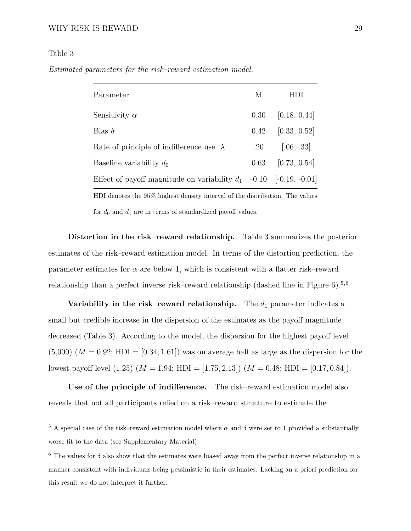#### WHY RISK IS REWARD 29

#### <span id="page-28-0"></span>Table 3

*Estimated parameters for the risk–reward estimation model.*

| Parameter                                                                    | М        | HDI          |  |
|------------------------------------------------------------------------------|----------|--------------|--|
| Sensitivity $\alpha$                                                         | 0.30     | [0.18, 0.44] |  |
| Bias $\delta$                                                                | $0.42\,$ | [0.33, 0.52] |  |
| Rate of principle of indifference use $\lambda$                              | $.20\,$  | [.06, .33]   |  |
| Baseline variability $d_0$                                                   | 0.63     | [0.73, 0.54] |  |
| Effect of payoff magnitude on variability $d_1$ -0.10 [-0.19, -0.01]         |          |              |  |
| HDI denotes the 95% highest density interval of the distribution. The values |          |              |  |

for  $d_0$  and  $d_1$  are in terms of standardized payoff values.

**Distortion in the risk–reward relationship.** Table [3](#page-28-0) summarizes the posterior estimates of the risk–reward estimation model. In terms of the distortion prediction, the parameter estimates for  $\alpha$  are below 1, which is consistent with a flatter risk–reward relationship than a perfect inverse risk–reward relationship (dashed line in Figure [6\)](#page-23-0).[5](#page-28-1)*,*[6](#page-28-2)

**Variability in the risk–reward relationship.** The  $d_1$  parameter indicates a small but credible increase in the dispersion of the estimates as the payoff magnitude decreased (Table [3\)](#page-28-0). According to the model, the dispersion for the highest payoff level  $(5,000)$   $(M = 0.92; HDI = [0.34, 1.61])$  was on average half as large as the dispersion for the lowest payoff level (1.25) (*M* = 1*.*94; HDI = [1*.*75*,* 2*.*13]) (*M* = 0*.*48; HDI = [0*.*17*,* 0*.*84]).

**Use of the principle of indifference.** The risk–reward estimation model also reveals that not all participants relied on a risk–reward structure to estimate the

<span id="page-28-1"></span><sup>&</sup>lt;sup>5</sup> A special case of the risk–reward estimation model where  $\alpha$  and  $\delta$  were set to 1 provided a substantially worse fit to the data (see Supplementary Material).

<span id="page-28-2"></span><sup>&</sup>lt;sup>6</sup> The values for  $\delta$  also show that the estimates were biased away from the perfect inverse relationship in a manner consistent with individuals being pessimistic in their estimates. Lacking an a priori prediction for this result we do not interpret it further.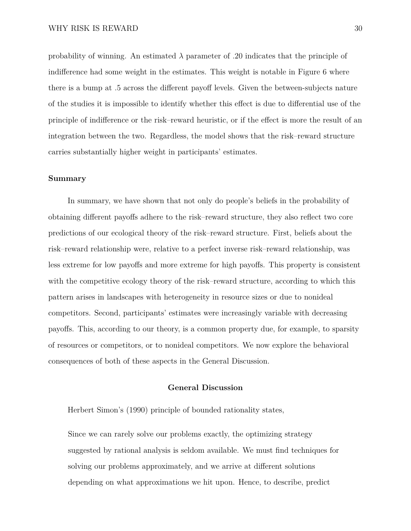probability of winning. An estimated  $\lambda$  parameter of .20 indicates that the principle of indifference had some weight in the estimates. This weight is notable in Figure [6](#page-23-0) where there is a bump at .5 across the different payoff levels. Given the between-subjects nature of the studies it is impossible to identify whether this effect is due to differential use of the principle of indifference or the risk–reward heuristic, or if the effect is more the result of an integration between the two. Regardless, the model shows that the risk–reward structure carries substantially higher weight in participants' estimates.

#### **Summary**

In summary, we have shown that not only do people's beliefs in the probability of obtaining different payoffs adhere to the risk–reward structure, they also reflect two core predictions of our ecological theory of the risk–reward structure. First, beliefs about the risk–reward relationship were, relative to a perfect inverse risk–reward relationship, was less extreme for low payoffs and more extreme for high payoffs. This property is consistent with the competitive ecology theory of the risk–reward structure, according to which this pattern arises in landscapes with heterogeneity in resource sizes or due to nonideal competitors. Second, participants' estimates were increasingly variable with decreasing payoffs. This, according to our theory, is a common property due, for example, to sparsity of resources or competitors, or to nonideal competitors. We now explore the behavioral consequences of both of these aspects in the General Discussion.

#### **General Discussion**

Herbert Simon's [\(1990\)](#page-44-5) principle of bounded rationality states,

Since we can rarely solve our problems exactly, the optimizing strategy suggested by rational analysis is seldom available. We must find techniques for solving our problems approximately, and we arrive at different solutions depending on what approximations we hit upon. Hence, to describe, predict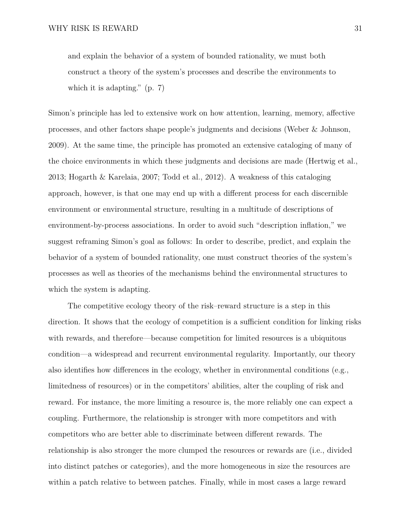and explain the behavior of a system of bounded rationality, we must both construct a theory of the system's processes and describe the environments to which it is adapting." (p. 7)

Simon's principle has led to extensive work on how attention, learning, memory, affective processes, and other factors shape people's judgments and decisions [\(Weber & Johnson,](#page-45-7) [2009\)](#page-45-7). At the same time, the principle has promoted an extensive cataloging of many of the choice environments in which these judgments and decisions are made [\(Hertwig et al.,](#page-40-6) [2013;](#page-40-6) [Hogarth & Karelaia,](#page-40-7) [2007;](#page-40-7) [Todd et al.,](#page-45-1) [2012\)](#page-45-1). A weakness of this cataloging approach, however, is that one may end up with a different process for each discernible environment or environmental structure, resulting in a multitude of descriptions of environment-by-process associations. In order to avoid such "description inflation," we suggest reframing Simon's goal as follows: In order to describe, predict, and explain the behavior of a system of bounded rationality, one must construct theories of the system's processes as well as theories of the mechanisms behind the environmental structures to which the system is adapting.

The competitive ecology theory of the risk–reward structure is a step in this direction. It shows that the ecology of competition is a sufficient condition for linking risks with rewards, and therefore—because competition for limited resources is a ubiquitous condition—a widespread and recurrent environmental regularity. Importantly, our theory also identifies how differences in the ecology, whether in environmental conditions (e.g., limitedness of resources) or in the competitors' abilities, alter the coupling of risk and reward. For instance, the more limiting a resource is, the more reliably one can expect a coupling. Furthermore, the relationship is stronger with more competitors and with competitors who are better able to discriminate between different rewards. The relationship is also stronger the more clumped the resources or rewards are (i.e., divided into distinct patches or categories), and the more homogeneous in size the resources are within a patch relative to between patches. Finally, while in most cases a large reward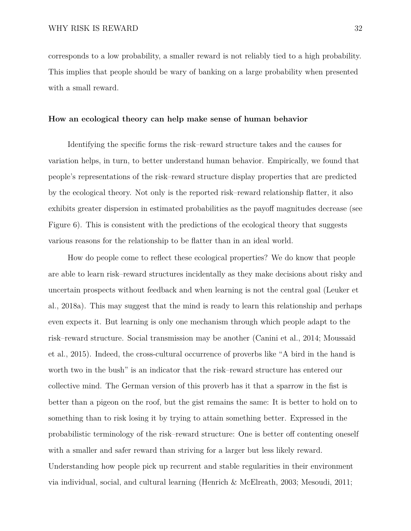corresponds to a low probability, a smaller reward is not reliably tied to a high probability. This implies that people should be wary of banking on a large probability when presented with a small reward.

#### **How an ecological theory can help make sense of human behavior**

Identifying the specific forms the risk–reward structure takes and the causes for variation helps, in turn, to better understand human behavior. Empirically, we found that people's representations of the risk–reward structure display properties that are predicted by the ecological theory. Not only is the reported risk–reward relationship flatter, it also exhibits greater dispersion in estimated probabilities as the payoff magnitudes decrease (see Figure [6\)](#page-23-0). This is consistent with the predictions of the ecological theory that suggests various reasons for the relationship to be flatter than in an ideal world.

How do people come to reflect these ecological properties? We do know that people are able to learn risk–reward structures incidentally as they make decisions about risky and uncertain prospects without feedback and when learning is not the central goal [\(Leuker et](#page-41-2) [al.,](#page-41-2) [2018a\)](#page-41-2). This may suggest that the mind is ready to learn this relationship and perhaps even expects it. But learning is only one mechanism through which people adapt to the risk–reward structure. Social transmission may be another [\(Canini et al.,](#page-36-6) [2014;](#page-36-6) [Moussaïd](#page-42-6) [et al.,](#page-42-6) [2015\)](#page-42-6). Indeed, the cross-cultural occurrence of proverbs like "A bird in the hand is worth two in the bush" is an indicator that the risk–reward structure has entered our collective mind. The German version of this proverb has it that a sparrow in the fist is better than a pigeon on the roof, but the gist remains the same: It is better to hold on to something than to risk losing it by trying to attain something better. Expressed in the probabilistic terminology of the risk–reward structure: One is better off contenting oneself with a smaller and safer reward than striving for a larger but less likely reward. Understanding how people pick up recurrent and stable regularities in their environment via individual, social, and cultural learning [\(Henrich & McElreath,](#page-39-7) [2003;](#page-39-7) [Mesoudi,](#page-42-7) [2011;](#page-42-7)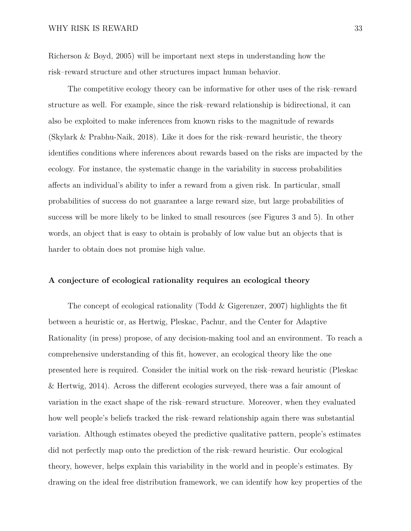[Richerson & Boyd,](#page-43-6) [2005\)](#page-43-6) will be important next steps in understanding how the risk–reward structure and other structures impact human behavior.

The competitive ecology theory can be informative for other uses of the risk–reward structure as well. For example, since the risk–reward relationship is bidirectional, it can also be exploited to make inferences from known risks to the magnitude of rewards [\(Skylark & Prabhu-Naik,](#page-44-7) [2018\)](#page-44-7). Like it does for the risk–reward heuristic, the theory identifies conditions where inferences about rewards based on the risks are impacted by the ecology. For instance, the systematic change in the variability in success probabilities affects an individual's ability to infer a reward from a given risk. In particular, small probabilities of success do not guarantee a large reward size, but large probabilities of success will be more likely to be linked to small resources (see Figures [3](#page-16-0) and [5\)](#page-19-0). In other words, an object that is easy to obtain is probably of low value but an objects that is harder to obtain does not promise high value.

#### **A conjecture of ecological rationality requires an ecological theory**

The concept of ecological rationality [\(Todd & Gigerenzer,](#page-45-8) [2007\)](#page-45-8) highlights the fit between a heuristic or, as Hertwig, Pleskac, Pachur, and the Center for Adaptive Rationality [\(in press\)](#page-40-8) propose, of any decision-making tool and an environment. To reach a comprehensive understanding of this fit, however, an ecological theory like the one presented here is required. Consider the initial work on the risk–reward heuristic [\(Pleskac](#page-43-1) [& Hertwig,](#page-43-1) [2014\)](#page-43-1). Across the different ecologies surveyed, there was a fair amount of variation in the exact shape of the risk–reward structure. Moreover, when they evaluated how well people's beliefs tracked the risk–reward relationship again there was substantial variation. Although estimates obeyed the predictive qualitative pattern, people's estimates did not perfectly map onto the prediction of the risk–reward heuristic. Our ecological theory, however, helps explain this variability in the world and in people's estimates. By drawing on the ideal free distribution framework, we can identify how key properties of the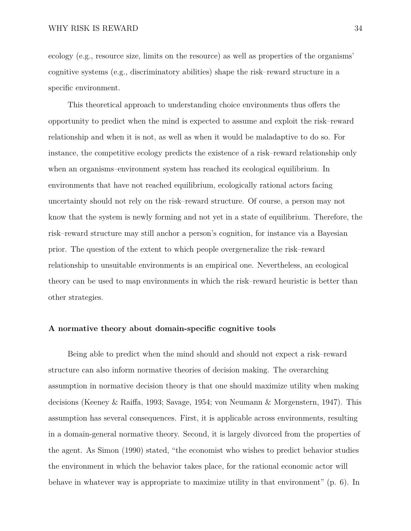ecology (e.g., resource size, limits on the resource) as well as properties of the organisms' cognitive systems (e.g., discriminatory abilities) shape the risk–reward structure in a specific environment.

This theoretical approach to understanding choice environments thus offers the opportunity to predict when the mind is expected to assume and exploit the risk–reward relationship and when it is not, as well as when it would be maladaptive to do so. For instance, the competitive ecology predicts the existence of a risk–reward relationship only when an organisms–environment system has reached its ecological equilibrium. In environments that have not reached equilibrium, ecologically rational actors facing uncertainty should not rely on the risk–reward structure. Of course, a person may not know that the system is newly forming and not yet in a state of equilibrium. Therefore, the risk–reward structure may still anchor a person's cognition, for instance via a Bayesian prior. The question of the extent to which people overgeneralize the risk–reward relationship to unsuitable environments is an empirical one. Nevertheless, an ecological theory can be used to map environments in which the risk–reward heuristic is better than other strategies.

#### **A normative theory about domain-specific cognitive tools**

Being able to predict when the mind should and should not expect a risk–reward structure can also inform normative theories of decision making. The overarching assumption in normative decision theory is that one should maximize utility when making decisions [\(Keeney & Raiffa,](#page-41-5) [1993;](#page-41-5) [Savage,](#page-43-7) [1954;](#page-43-7) [von Neumann & Morgenstern,](#page-45-9) [1947\)](#page-45-9). This assumption has several consequences. First, it is applicable across environments, resulting in a domain-general normative theory. Second, it is largely divorced from the properties of the agent. As [Simon](#page-44-5) [\(1990\)](#page-44-5) stated, "the economist who wishes to predict behavior studies the environment in which the behavior takes place, for the rational economic actor will behave in whatever way is appropriate to maximize utility in that environment" (p. 6). In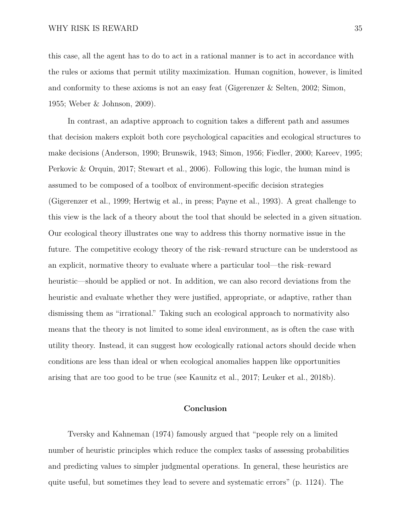this case, all the agent has to do to act in a rational manner is to act in accordance with the rules or axioms that permit utility maximization. Human cognition, however, is limited and conformity to these axioms is not an easy feat [\(Gigerenzer & Selten,](#page-38-3) [2002;](#page-38-3) [Simon,](#page-43-4) [1955;](#page-43-4) [Weber & Johnson,](#page-45-7) [2009\)](#page-45-7).

In contrast, an adaptive approach to cognition takes a different path and assumes that decision makers exploit both core psychological capacities and ecological structures to make decisions [\(Anderson,](#page-36-7) [1990;](#page-36-7) [Brunswik,](#page-36-8) [1943;](#page-36-8) [Simon,](#page-43-8) [1956;](#page-43-8) [Fiedler,](#page-38-7) [2000;](#page-38-7) [Kareev,](#page-41-6) [1995;](#page-41-6) [Perkovic & Orquin,](#page-43-9) [2017;](#page-43-9) [Stewart et al.,](#page-44-1) [2006\)](#page-44-1). Following this logic, the human mind is assumed to be composed of a toolbox of environment-specific decision strategies [\(Gigerenzer et al.,](#page-38-8) [1999;](#page-38-8) [Hertwig et al.,](#page-40-8) [in press;](#page-40-8) [Payne et al.,](#page-43-10) [1993\)](#page-43-10). A great challenge to this view is the lack of a theory about the tool that should be selected in a given situation. Our ecological theory illustrates one way to address this thorny normative issue in the future. The competitive ecology theory of the risk–reward structure can be understood as an explicit, normative theory to evaluate where a particular tool—the risk–reward heuristic—should be applied or not. In addition, we can also record deviations from the heuristic and evaluate whether they were justified, appropriate, or adaptive, rather than dismissing them as "irrational." Taking such an ecological approach to normativity also means that the theory is not limited to some ideal environment, as is often the case with utility theory. Instead, it can suggest how ecologically rational actors should decide when conditions are less than ideal or when ecological anomalies happen like opportunities arising that are too good to be true (see [Kaunitz et al.,](#page-41-7) [2017;](#page-41-7) [Leuker et al.,](#page-41-8) [2018b\)](#page-41-8).

#### **Conclusion**

Tversky and Kahneman [\(1974\)](#page-45-0) famously argued that "people rely on a limited number of heuristic principles which reduce the complex tasks of assessing probabilities and predicting values to simpler judgmental operations. In general, these heuristics are quite useful, but sometimes they lead to severe and systematic errors" (p. 1124). The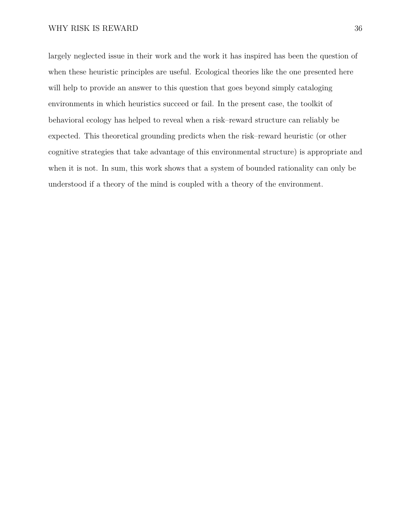largely neglected issue in their work and the work it has inspired has been the question of when these heuristic principles are useful. Ecological theories like the one presented here will help to provide an answer to this question that goes beyond simply cataloging environments in which heuristics succeed or fail. In the present case, the toolkit of behavioral ecology has helped to reveal when a risk–reward structure can reliably be expected. This theoretical grounding predicts when the risk–reward heuristic (or other cognitive strategies that take advantage of this environmental structure) is appropriate and when it is not. In sum, this work shows that a system of bounded rationality can only be understood if a theory of the mind is coupled with a theory of the environment.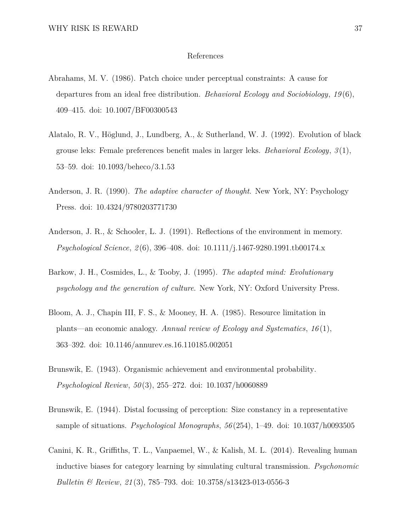#### References

- <span id="page-36-4"></span>Abrahams, M. V. (1986). Patch choice under perceptual constraints: A cause for departures from an ideal free distribution. *Behavioral Ecology and Sociobiology*, *19* (6), 409–415. doi: 10.1007/BF00300543
- <span id="page-36-3"></span>Alatalo, R. V., Höglund, J., Lundberg, A., & Sutherland, W. J. (1992). Evolution of black grouse leks: Female preferences benefit males in larger leks. *Behavioral Ecology*, *3* (1), 53–59. doi: 10.1093/beheco/3.1.53
- <span id="page-36-7"></span>Anderson, J. R. (1990). *The adaptive character of thought*. New York, NY: Psychology Press. doi: 10.4324/9780203771730
- <span id="page-36-1"></span>Anderson, J. R., & Schooler, L. J. (1991). Reflections of the environment in memory. *Psychological Science*, *2* (6), 396–408. doi: 10.1111/j.1467-9280.1991.tb00174.x
- <span id="page-36-0"></span>Barkow, J. H., Cosmides, L., & Tooby, J. (1995). *The adapted mind: Evolutionary psychology and the generation of culture*. New York, NY: Oxford University Press.
- <span id="page-36-5"></span>Bloom, A. J., Chapin III, F. S., & Mooney, H. A. (1985). Resource limitation in plants—an economic analogy. *Annual review of Ecology and Systematics*, *16* (1), 363–392. doi: 10.1146/annurev.es.16.110185.002051
- <span id="page-36-8"></span>Brunswik, E. (1943). Organismic achievement and environmental probability. *Psychological Review*, *50* (3), 255–272. doi: 10.1037/h0060889
- <span id="page-36-2"></span>Brunswik, E. (1944). Distal focussing of perception: Size constancy in a representative sample of situations. *Psychological Monographs*, *56* (254), 1–49. doi: 10.1037/h0093505
- <span id="page-36-6"></span>Canini, K. R., Griffiths, T. L., Vanpaemel, W., & Kalish, M. L. (2014). Revealing human inductive biases for category learning by simulating cultural transmission. *Psychonomic Bulletin & Review*, *21* (3), 785–793. doi: 10.3758/s13423-013-0556-3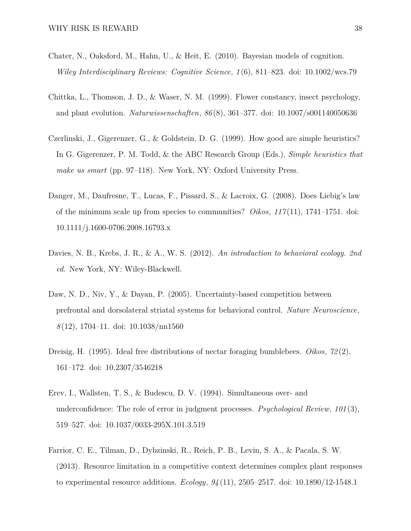- <span id="page-37-0"></span>Chater, N., Oaksford, M., Hahn, U., & Heit, E. (2010). Bayesian models of cognition. *Wiley Interdisciplinary Reviews: Cognitive Science*, *1* (6), 811–823. doi: 10.1002/wcs.79
- <span id="page-37-5"></span>Chittka, L., Thomson, J. D., & Waser, N. M. (1999). Flower constancy, insect psychology, and plant evolution. *Naturwissenschaften*, *86* (8), 361–377. doi: 10.1007/s001140050636
- <span id="page-37-2"></span>Czerlinski, J., Gigerenzer, G., & Goldstein, D. G. (1999). How good are simple heuristics? In G. Gigerenzer, P. M. Todd, & the ABC Research Group (Eds.), *Simple heuristics that make us smart* (pp. 97–118). New York, NY: Oxford University Press.
- <span id="page-37-6"></span>Danger, M., Daufresne, T., Lucas, F., Pissard, S., & Lacroix, G. (2008). Does Liebig's law of the minimum scale up from species to communities? *Oikos*, *117* (11), 1741–1751. doi: 10.1111/j.1600-0706.2008.16793.x
- <span id="page-37-3"></span>Davies, N. B., Krebs, J. R., & A., W. S. (2012). *An introduction to behavioral ecology. 2nd ed.* New York, NY: Wiley-Blackwell.
- <span id="page-37-1"></span>Daw, N. D., Niv, Y., & Dayan, P. (2005). Uncertainty-based competition between prefrontal and dorsolateral striatal systems for behavioral control. *Nature Neuroscience*, *8* (12), 1704–11. doi: 10.1038/nn1560
- <span id="page-37-4"></span>Dreisig, H. (1995). Ideal free distributions of nectar foraging bumblebees. *Oikos*, *72* (2), 161–172. doi: 10.2307/3546218
- <span id="page-37-8"></span>Erev, I., Wallsten, T. S., & Budescu, D. V. (1994). Simultaneous over- and underconfidence: The role of error in judgment processes. *Psychological Review*, *101* (3), 519–527. doi: 10.1037/0033-295X.101.3.519
- <span id="page-37-7"></span>Farrior, C. E., Tilman, D., Dybzinski, R., Reich, P. B., Levin, S. A., & Pacala, S. W. (2013). Resource limitation in a competitive context determines complex plant responses to experimental resource additions. *Ecology*, *94* (11), 2505–2517. doi: 10.1890/12-1548.1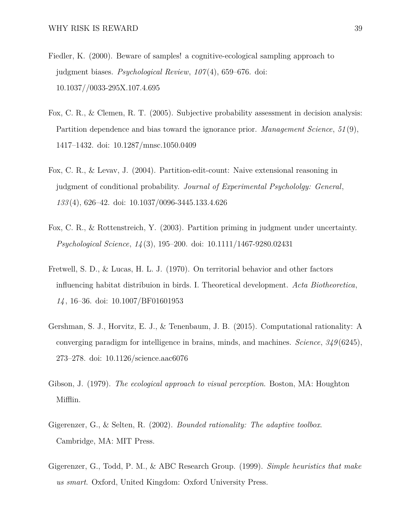- <span id="page-38-7"></span>Fiedler, K. (2000). Beware of samples! a cognitive-ecological sampling approach to judgment biases. *Psychological Review*, *107* (4), 659–676. doi: 10.1037//0033-295X.107.4.695
- <span id="page-38-4"></span>Fox, C. R., & Clemen, R. T. (2005). Subjective probability assessment in decision analysis: Partition dependence and bias toward the ignorance prior. *Management Science*, *51* (9), 1417–1432. doi: 10.1287/mnsc.1050.0409
- <span id="page-38-5"></span>Fox, C. R., & Levav, J. (2004). Partition-edit-count: Naive extensional reasoning in judgment of conditional probability. *Journal of Experimental Psychololgy: General*, *133* (4), 626–42. doi: 10.1037/0096-3445.133.4.626
- <span id="page-38-6"></span>Fox, C. R., & Rottenstreich, Y. (2003). Partition priming in judgment under uncertainty. *Psychological Science*, *14* (3), 195–200. doi: 10.1111/1467-9280.02431
- <span id="page-38-2"></span>Fretwell, S. D., & Lucas, H. L. J. (1970). On territorial behavior and other factors influencing habitat distribuion in birds. I. Theoretical development. *Acta Biotheoretica*, *14* , 16–36. doi: 10.1007/BF01601953
- <span id="page-38-0"></span>Gershman, S. J., Horvitz, E. J., & Tenenbaum, J. B. (2015). Computational rationality: A converging paradigm for intelligence in brains, minds, and machines. *Science*, *349* (6245), 273–278. doi: 10.1126/science.aac6076
- <span id="page-38-1"></span>Gibson, J. (1979). *The ecological approach to visual perception*. Boston, MA: Houghton Mifflin.
- <span id="page-38-3"></span>Gigerenzer, G., & Selten, R. (2002). *Bounded rationality: The adaptive toolbox*. Cambridge, MA: MIT Press.
- <span id="page-38-8"></span>Gigerenzer, G., Todd, P. M., & ABC Research Group. (1999). *Simple heuristics that make us smart*. Oxford, United Kingdom: Oxford University Press.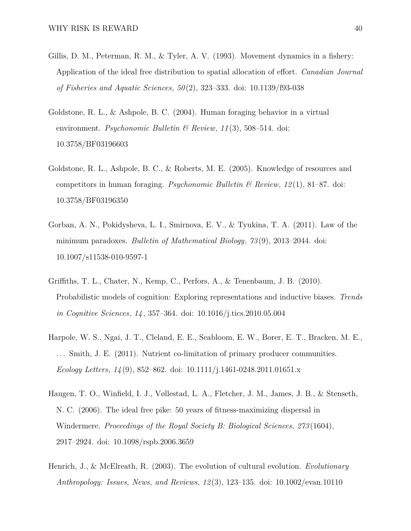- <span id="page-39-1"></span>Gillis, D. M., Peterman, R. M., & Tyler, A. V. (1993). Movement dynamics in a fishery: Application of the ideal free distribution to spatial allocation of effort. *Canadian Journal of Fisheries and Aquatic Sciences*, *50* (2), 323–333. doi: 10.1139/f93-038
- <span id="page-39-3"></span>Goldstone, R. L., & Ashpole, B. C. (2004). Human foraging behavior in a virtual environment. *Psychonomic Bulletin & Review*, *11* (3), 508–514. doi: 10.3758/BF03196603
- <span id="page-39-4"></span>Goldstone, R. L., Ashpole, B. C., & Roberts, M. E. (2005). Knowledge of resources and competitors in human foraging. *Psychonomic Bulletin & Review*, *12* (1), 81–87. doi: 10.3758/BF03196350
- <span id="page-39-5"></span>Gorban, A. N., Pokidysheva, L. I., Smirnova, E. V., & Tyukina, T. A. (2011). Law of the minimum paradoxes. *Bulletin of Mathematical Biology*, *73* (9), 2013–2044. doi: 10.1007/s11538-010-9597-1
- <span id="page-39-0"></span>Griffiths, T. L., Chater, N., Kemp, C., Perfors, A., & Tenenbaum, J. B. (2010). Probabilistic models of cognition: Exploring representations and inductive biases. *Trends in Cognitive Sciences*, *14* , 357–364. doi: 10.1016/j.tics.2010.05.004
- <span id="page-39-6"></span>Harpole, W. S., Ngai, J. T., Cleland, E. E., Seabloom, E. W., Borer, E. T., Bracken, M. E., ... Smith, J. E. (2011). Nutrient co-limitation of primary producer communities. *Ecology Letters*, *14* (9), 852–862. doi: 10.1111/j.1461-0248.2011.01651.x
- <span id="page-39-2"></span>Haugen, T. O., Winfield, I. J., Vøllestad, L. A., Fletcher, J. M., James, J. B., & Stenseth, N. C. (2006). The ideal free pike: 50 years of fitness-maximizing dispersal in Windermere. *Proceedings of the Royal Society B: Biological Sciences*, *273* (1604), 2917–2924. doi: 10.1098/rspb.2006.3659
- <span id="page-39-7"></span>Henrich, J., & McElreath, R. (2003). The evolution of cultural evolution. *Evolutionary Anthropology: Issues, News, and Reviews*, *12* (3), 123–135. doi: 10.1002/evan.10110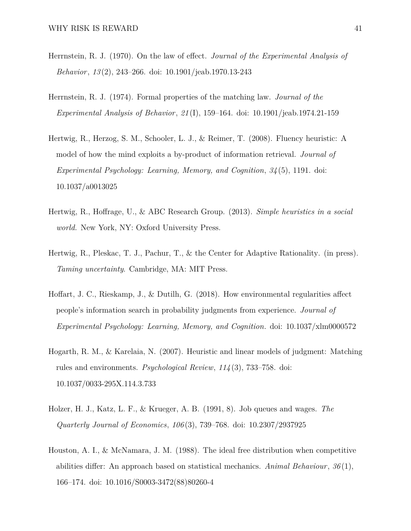- <span id="page-40-3"></span>Herrnstein, R. J. (1970). On the law of effect. *Journal of the Experimental Analysis of Behavior*, *13* (2), 243–266. doi: 10.1901/jeab.1970.13-243
- <span id="page-40-4"></span>Herrnstein, R. J. (1974). Formal properties of the matching law. *Journal of the Experimental Analysis of Behavior*, *21* (I), 159–164. doi: 10.1901/jeab.1974.21-159
- <span id="page-40-1"></span>Hertwig, R., Herzog, S. M., Schooler, L. J., & Reimer, T. (2008). Fluency heuristic: A model of how the mind exploits a by-product of information retrieval. *Journal of Experimental Psychology: Learning, Memory, and Cognition*, *34* (5), 1191. doi: 10.1037/a0013025
- <span id="page-40-6"></span>Hertwig, R., Hoffrage, U., & ABC Research Group. (2013). *Simple heuristics in a social world.* New York, NY: Oxford University Press.
- <span id="page-40-8"></span>Hertwig, R., Pleskac, T. J., Pachur, T., & the Center for Adaptive Rationality. (in press). *Taming uncertainty*. Cambridge, MA: MIT Press.
- <span id="page-40-0"></span>Hoffart, J. C., Rieskamp, J., & Dutilh, G. (2018). How environmental regularities affect people's information search in probability judgments from experience. *Journal of Experimental Psychology: Learning, Memory, and Cognition*. doi: 10.1037/xlm0000572
- <span id="page-40-7"></span>Hogarth, R. M., & Karelaia, N. (2007). Heuristic and linear models of judgment: Matching rules and environments. *Psychological Review*, *114* (3), 733–758. doi: 10.1037/0033-295X.114.3.733
- <span id="page-40-2"></span>Holzer, H. J., Katz, L. F., & Krueger, A. B. (1991, 8). Job queues and wages. *The Quarterly Journal of Economics*, *106* (3), 739–768. doi: 10.2307/2937925
- <span id="page-40-5"></span>Houston, A. I., & McNamara, J. M. (1988). The ideal free distribution when competitive abilities differ: An approach based on statistical mechanics. *Animal Behaviour*, *36* (1), 166–174. doi: 10.1016/S0003-3472(88)80260-4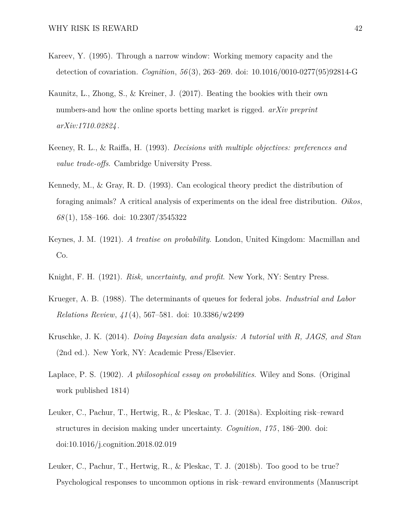- <span id="page-41-6"></span>Kareev, Y. (1995). Through a narrow window: Working memory capacity and the detection of covariation. *Cognition*, *56* (3), 263–269. doi: 10.1016/0010-0277(95)92814-G
- <span id="page-41-7"></span>Kaunitz, L., Zhong, S., & Kreiner, J. (2017). Beating the bookies with their own numbers-and how the online sports betting market is rigged. *arXiv preprint arXiv:1710.02824* .
- <span id="page-41-5"></span>Keeney, R. L., & Raiffa, H. (1993). *Decisions with multiple objectives: preferences and value trade-offs*. Cambridge University Press.
- <span id="page-41-3"></span>Kennedy, M., & Gray, R. D. (1993). Can ecological theory predict the distribution of foraging animals? A critical analysis of experiments on the ideal free distribution. *Oikos*, *68* (1), 158–166. doi: 10.2307/3545322
- <span id="page-41-0"></span>Keynes, J. M. (1921). *A treatise on probability*. London, United Kingdom: Macmillan and Co.
- <span id="page-41-1"></span>Knight, F. H. (1921). *Risk, uncertainty, and profit*. New York, NY: Sentry Press.
- <span id="page-41-4"></span>Krueger, A. B. (1988). The determinants of queues for federal jobs. *Industrial and Labor Relations Review*, *41* (4), 567–581. doi: 10.3386/w2499
- Kruschke, J. K. (2014). *Doing Bayesian data analysis: A tutorial with R, JAGS, and Stan* (2nd ed.). New York, NY: Academic Press/Elsevier.
- Laplace, P. S. (1902). *A philosophical essay on probabilities*. Wiley and Sons. (Original work published 1814)
- <span id="page-41-2"></span>Leuker, C., Pachur, T., Hertwig, R., & Pleskac, T. J. (2018a). Exploiting risk–reward structures in decision making under uncertainty. *Cognition*, *175* , 186–200. doi: doi:10.1016/j.cognition.2018.02.019
- <span id="page-41-8"></span>Leuker, C., Pachur, T., Hertwig, R., & Pleskac, T. J. (2018b). Too good to be true? Psychological responses to uncommon options in risk–reward environments (Manuscript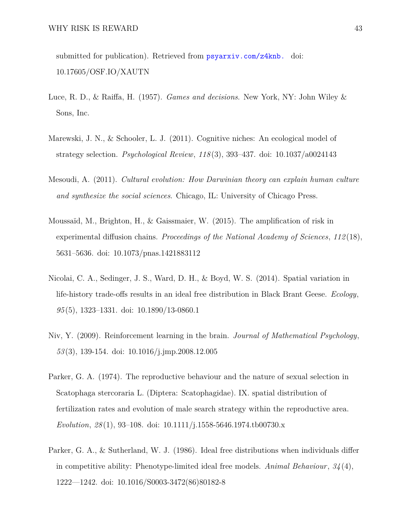submitted for publication). Retrieved from <psyarxiv.com/z4knb.> doi: 10.17605/OSF.IO/XAUTN

- <span id="page-42-0"></span>Luce, R. D., & Raiffa, H. (1957). *Games and decisions*. New York, NY: John Wiley & Sons, Inc.
- <span id="page-42-2"></span>Marewski, J. N., & Schooler, L. J. (2011). Cognitive niches: An ecological model of strategy selection. *Psychological Review*, *118* (3), 393–437. doi: 10.1037/a0024143
- <span id="page-42-7"></span>Mesoudi, A. (2011). *Cultural evolution: How Darwinian theory can explain human culture and synthesize the social sciences*. Chicago, IL: University of Chicago Press.
- <span id="page-42-6"></span>Moussaïd, M., Brighton, H., & Gaissmaier, W. (2015). The amplification of risk in experimental diffusion chains. *Proceedings of the National Academy of Sciences*, *112* (18), 5631–5636. doi: 10.1073/pnas.1421883112
- <span id="page-42-4"></span>Nicolai, C. A., Sedinger, J. S., Ward, D. H., & Boyd, W. S. (2014). Spatial variation in life-history trade-offs results in an ideal free distribution in Black Brant Geese. *Ecology*, *95* (5), 1323–1331. doi: 10.1890/13-0860.1
- <span id="page-42-1"></span>Niv, Y. (2009). Reinforcement learning in the brain. *Journal of Mathematical Psychology*, *53* (3), 139-154. doi: 10.1016/j.jmp.2008.12.005
- <span id="page-42-3"></span>Parker, G. A. (1974). The reproductive behaviour and the nature of sexual selection in Scatophaga stercoraria L. (Diptera: Scatophagidae). IX. spatial distribution of fertilization rates and evolution of male search strategy within the reproductive area. *Evolution*, *28* (1), 93–108. doi: 10.1111/j.1558-5646.1974.tb00730.x
- <span id="page-42-5"></span>Parker, G. A., & Sutherland, W. J. (1986). Ideal free distributions when individuals differ in competitive ability: Phenotype-limited ideal free models. *Animal Behaviour*, *34* (4), 1222—1242. doi: 10.1016/S0003-3472(86)80182-8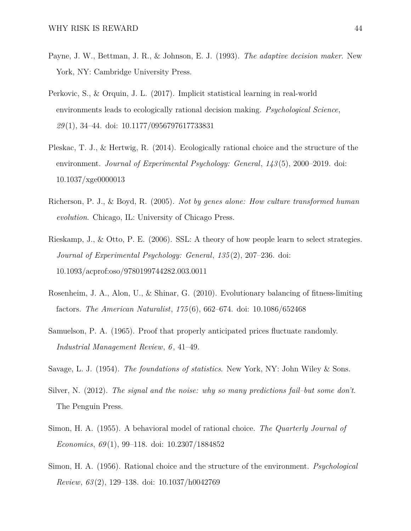- <span id="page-43-10"></span>Payne, J. W., Bettman, J. R., & Johnson, E. J. (1993). *The adaptive decision maker*. New York, NY: Cambridge University Press.
- <span id="page-43-9"></span>Perkovic, S., & Orquin, J. L. (2017). Implicit statistical learning in real-world environments leads to ecologically rational decision making. *Psychological Science*, *29* (1), 34–44. doi: 10.1177/0956797617733831
- <span id="page-43-1"></span>Pleskac, T. J., & Hertwig, R. (2014). Ecologically rational choice and the structure of the environment. *Journal of Experimental Psychology: General*, *143* (5), 2000–2019. doi: 10.1037/xge0000013
- <span id="page-43-6"></span>Richerson, P. J., & Boyd, R. (2005). *Not by genes alone: How culture transformed human evolution*. Chicago, IL: University of Chicago Press.
- <span id="page-43-3"></span>Rieskamp, J., & Otto, P. E. (2006). SSL: A theory of how people learn to select strategies. *Journal of Experimental Psychology: General*, *135* (2), 207–236. doi: 10.1093/acprof:oso/9780199744282.003.0011
- <span id="page-43-5"></span>Rosenheim, J. A., Alon, U., & Shinar, G. (2010). Evolutionary balancing of fitness-limiting factors. *The American Naturalist*, *175* (6), 662–674. doi: 10.1086/652468
- <span id="page-43-2"></span>Samuelson, P. A. (1965). Proof that properly anticipated prices fluctuate randomly. *Industrial Management Review*, *6* , 41–49.
- <span id="page-43-7"></span>Savage, L. J. (1954). *The foundations of statistics*. New York, NY: John Wiley & Sons.
- <span id="page-43-0"></span>Silver, N. (2012). *The signal and the noise: why so many predictions fail–but some don't*. The Penguin Press.
- <span id="page-43-4"></span>Simon, H. A. (1955). A behavioral model of rational choice. *The Quarterly Journal of Economics*, *69* (1), 99–118. doi: 10.2307/1884852
- <span id="page-43-8"></span>Simon, H. A. (1956). Rational choice and the structure of the environment. *Psychological Review*, *63* (2), 129–138. doi: 10.1037/h0042769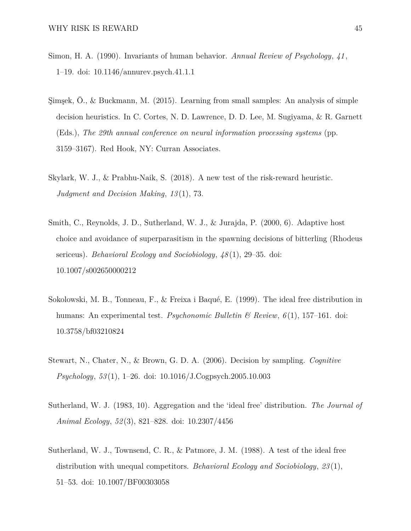- <span id="page-44-5"></span>Simon, H. A. (1990). Invariants of human behavior. *Annual Review of Psychology*, *41* , 1–19. doi: 10.1146/annurev.psych.41.1.1
- <span id="page-44-0"></span>Şimşek, Ö., & Buckmann, M. (2015). Learning from small samples: An analysis of simple decision heuristics. In C. Cortes, N. D. Lawrence, D. D. Lee, M. Sugiyama, & R. Garnett (Eds.), *The 29th annual conference on neural information processing systems* (pp. 3159–3167). Red Hook, NY: Curran Associates.
- <span id="page-44-7"></span>Skylark, W. J., & Prabhu-Naik, S. (2018). A new test of the risk-reward heuristic. *Judgment and Decision Making*, *13* (1), 73.
- <span id="page-44-2"></span>Smith, C., Reynolds, J. D., Sutherland, W. J., & Jurajda, P. (2000, 6). Adaptive host choice and avoidance of superparasitism in the spawning decisions of bitterling (Rhodeus sericeus). *Behavioral Ecology and Sociobiology*, *48* (1), 29–35. doi: 10.1007/s002650000212
- <span id="page-44-3"></span>Sokolowski, M. B., Tonneau, F., & Freixa i Baqué, E. (1999). The ideal free distribution in humans: An experimental test. *Psychonomic Bulletin & Review*, *6* (1), 157–161. doi: 10.3758/bf03210824
- <span id="page-44-1"></span>Stewart, N., Chater, N., & Brown, G. D. A. (2006). Decision by sampling. *Cognitive Psychology*, *53* (1), 1–26. doi: 10.1016/J.Cogpsych.2005.10.003
- <span id="page-44-6"></span>Sutherland, W. J. (1983, 10). Aggregation and the 'ideal free' distribution. *The Journal of Animal Ecology*, *52* (3), 821–828. doi: 10.2307/4456
- <span id="page-44-4"></span>Sutherland, W. J., Townsend, C. R., & Patmore, J. M. (1988). A test of the ideal free distribution with unequal competitors. *Behavioral Ecology and Sociobiology*, *23* (1), 51–53. doi: 10.1007/BF00303058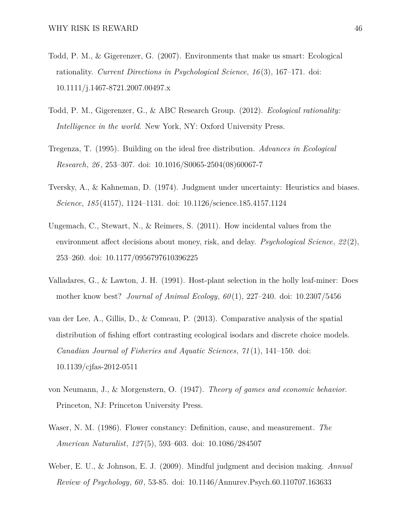- <span id="page-45-8"></span>Todd, P. M., & Gigerenzer, G. (2007). Environments that make us smart: Ecological rationality. *Current Directions in Psychological Science*, *16* (3), 167–171. doi: 10.1111/j.1467-8721.2007.00497.x
- <span id="page-45-1"></span>Todd, P. M., Gigerenzer, G., & ABC Research Group. (2012). *Ecological rationality: Intelligence in the world*. New York, NY: Oxford University Press.
- <span id="page-45-6"></span>Tregenza, T. (1995). Building on the ideal free distribution. *Advances in Ecological Research*, *26* , 253–307. doi: 10.1016/S0065-2504(08)60067-7
- <span id="page-45-0"></span>Tversky, A., & Kahneman, D. (1974). Judgment under uncertainty: Heuristics and biases. *Science*, *185* (4157), 1124–1131. doi: 10.1126/science.185.4157.1124
- <span id="page-45-2"></span>Ungemach, C., Stewart, N., & Reimers, S. (2011). How incidental values from the environment affect decisions about money, risk, and delay. *Psychological Science*, *22* (2), 253–260. doi: 10.1177/0956797610396225
- <span id="page-45-4"></span>Valladares, G., & Lawton, J. H. (1991). Host-plant selection in the holly leaf-miner: Does mother know best? *Journal of Animal Ecology*, *60* (1), 227–240. doi: 10.2307/5456
- <span id="page-45-3"></span>van der Lee, A., Gillis, D., & Comeau, P. (2013). Comparative analysis of the spatial distribution of fishing effort contrasting ecological isodars and discrete choice models. *Canadian Journal of Fisheries and Aquatic Sciences*, *71* (1), 141–150. doi: 10.1139/cjfas-2012-0511
- <span id="page-45-9"></span>von Neumann, J., & Morgenstern, O. (1947). *Theory of games and economic behavior*. Princeton, NJ: Princeton University Press.
- <span id="page-45-5"></span>Waser, N. M. (1986). Flower constancy: Definition, cause, and measurement. *The American Naturalist*, *127* (5), 593–603. doi: 10.1086/284507
- <span id="page-45-7"></span>Weber, E. U., & Johnson, E. J. (2009). Mindful judgment and decision making. *Annual Review of Psychology*, *60* , 53-85. doi: 10.1146/Annurev.Psych.60.110707.163633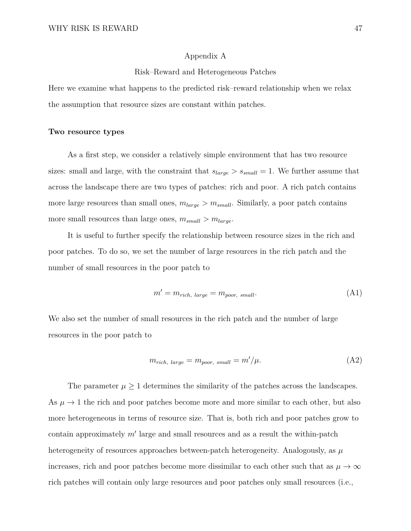#### Appendix A

#### Risk–Reward and Heterogeneous Patches

<span id="page-46-0"></span>Here we examine what happens to the predicted risk–reward relationship when we relax the assumption that resource sizes are constant within patches.

#### **Two resource types**

As a first step, we consider a relatively simple environment that has two resource sizes: small and large, with the constraint that  $s_{large} > s_{small} = 1$ . We further assume that across the landscape there are two types of patches: rich and poor. A rich patch contains more large resources than small ones,  $m_{large} > m_{small}$ . Similarly, a poor patch contains more small resources than large ones,  $m_{small} > m_{large}$ .

It is useful to further specify the relationship between resource sizes in the rich and poor patches. To do so, we set the number of large resources in the rich patch and the number of small resources in the poor patch to

<span id="page-46-1"></span>
$$
m' = m_{rich, large} = m_{poor, small}.\tag{A1}
$$

We also set the number of small resources in the rich patch and the number of large resources in the poor patch to

<span id="page-46-2"></span>
$$
m_{rich, large} = m_{poor, small} = m'/\mu.
$$
\n(A2)

The parameter  $\mu \geq 1$  determines the similarity of the patches across the landscapes. As  $\mu \rightarrow 1$  the rich and poor patches become more and more similar to each other, but also more heterogeneous in terms of resource size. That is, both rich and poor patches grow to contain approximately  $m'$  large and small resources and as a result the within-patch heterogeneity of resources approaches between-patch heterogeneity. Analogously, as  $\mu$ increases, rich and poor patches become more dissimilar to each other such that as  $\mu \to \infty$ rich patches will contain only large resources and poor patches only small resources (i.e.,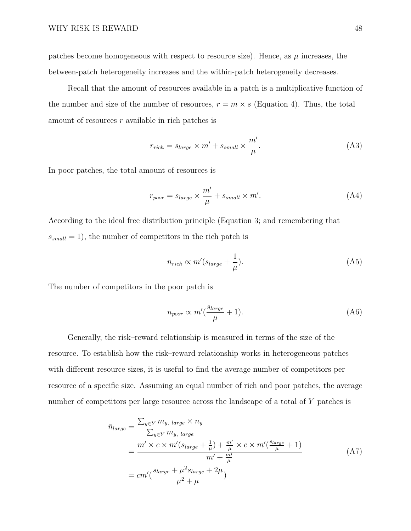patches become homogeneous with respect to resource size). Hence, as  $\mu$  increases, the between-patch heterogeneity increases and the within-patch heterogeneity decreases.

Recall that the amount of resources available in a patch is a multiplicative function of the number and size of the number of resources,  $r = m \times s$  (Equation [4\)](#page-9-0). Thus, the total amount of resources *r* available in rich patches is

<span id="page-47-1"></span>
$$
r_{rich} = s_{large} \times m' + s_{small} \times \frac{m'}{\mu}.
$$
\n(A3)

In poor patches, the total amount of resources is

<span id="page-47-2"></span>
$$
r_{poor} = s_{large} \times \frac{m'}{\mu} + s_{small} \times m'. \tag{A4}
$$

According to the ideal free distribution principle (Equation [3;](#page-7-0) and remembering that  $s_{small} = 1$ , the number of competitors in the rich patch is

$$
n_{rich} \propto m'(s_{large} + \frac{1}{\mu}).
$$
\n(A5)

The number of competitors in the poor patch is

<span id="page-47-3"></span><span id="page-47-0"></span>
$$
n_{poor} \propto m'(\frac{s_{large}}{\mu} + 1). \tag{A6}
$$

Generally, the risk–reward relationship is measured in terms of the size of the resource. To establish how the risk–reward relationship works in heterogeneous patches with different resource sizes, it is useful to find the average number of competitors per resource of a specific size. Assuming an equal number of rich and poor patches, the average number of competitors per large resource across the landscape of a total of *Y* patches is

$$
\bar{n}_{large} = \frac{\sum_{y \in Y} m_y, \, large \times n_y}{\sum_{y \in Y} m_y, \, large} \n= \frac{m' \times c \times m'(s_{large} + \frac{1}{\mu}) + \frac{m'}{\mu} \times c \times m'(\frac{s_{large}}{\mu} + 1)}{m' + \frac{m'}{\mu}} \n= cm'(\frac{s_{large} + \mu^2 s_{large} + 2\mu}{\mu^2 + \mu})
$$
\n(A7)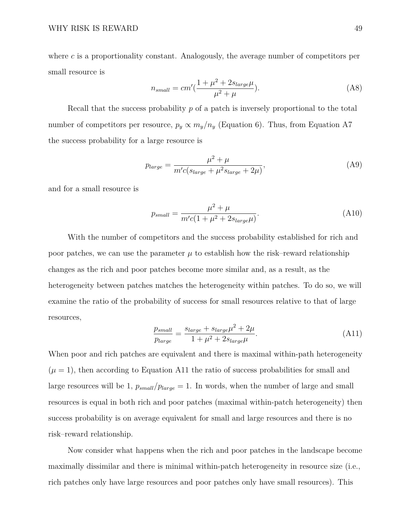where *c* is a proportionality constant. Analogously, the average number of competitors per small resource is

$$
n_{small} = cm'(\frac{1+\mu^2 + 2s_{large}\mu}{\mu^2 + \mu}).
$$
\n(A8)

Recall that the success probability *p* of a patch is inversely proportional to the total number of competitors per resource,  $p_y \propto m_y/n_y$  (Equation [6\)](#page-9-2). Thus, from Equation [A7](#page-47-0) the success probability for a large resource is

$$
p_{large} = \frac{\mu^2 + \mu}{m'c(s_{large} + \mu^2 s_{large} + 2\mu)},
$$
\n(A9)

and for a small resource is

$$
p_{small} = \frac{\mu^2 + \mu}{m'c(1 + \mu^2 + 2s_{large}\mu)}.
$$
\n(A10)

With the number of competitors and the success probability established for rich and poor patches, we can use the parameter  $\mu$  to establish how the risk–reward relationship changes as the rich and poor patches become more similar and, as a result, as the heterogeneity between patches matches the heterogeneity within patches. To do so, we will examine the ratio of the probability of success for small resources relative to that of large resources,

<span id="page-48-0"></span>
$$
\frac{p_{small}}{p_{large}} = \frac{s_{large} + s_{large}\mu^2 + 2\mu}{1 + \mu^2 + 2s_{large}\mu}.
$$
\n(A11)

When poor and rich patches are equivalent and there is maximal within-path heterogeneity  $(\mu = 1)$ , then according to Equation [A11](#page-48-0) the ratio of success probabilities for small and large resources will be 1,  $p_{small}/p_{large} = 1$ . In words, when the number of large and small resources is equal in both rich and poor patches (maximal within-patch heterogeneity) then success probability is on average equivalent for small and large resources and there is no risk–reward relationship.

Now consider what happens when the rich and poor patches in the landscape become maximally dissimilar and there is minimal within-patch heterogeneity in resource size (i.e., rich patches only have large resources and poor patches only have small resources). This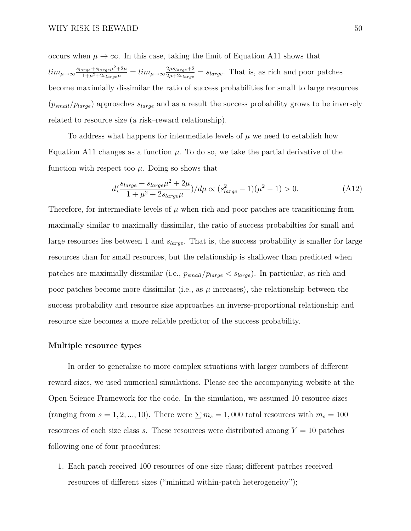occurs when  $\mu \to \infty$ . In this case, taking the limit of Equation [A11](#page-48-0) shows that

 $lim_{\mu\rightarrow\infty}\frac{s_{large}+s_{large}\mu^{2}+2\mu}{1+\mu^{2}+2s_{large}\mu} = lim_{\mu\rightarrow\infty}\frac{2\mu s_{large}+2}{2\mu+2s_{large}}$  $\frac{2\mu s_{large} + 2}{2\mu + 2s_{large}} = s_{large}$ . That is, as rich and poor patches become maximially dissimilar the ratio of success probabilities for small to large resources  $(p_{small}/p_{large})$  approaches  $s_{large}$  and as a result the success probability grows to be inversely related to resource size (a risk–reward relationship).

To address what happens for intermediate levels of  $\mu$  we need to establish how Equation [A11](#page-48-0) changes as a function  $\mu$ . To do so, we take the partial derivative of the function with respect too  $\mu$ . Doing so shows that

$$
d\left(\frac{s_{large} + s_{large}\mu^2 + 2\mu}{1 + \mu^2 + 2s_{large}\mu}\right) / d\mu \propto (s_{large}^2 - 1)(\mu^2 - 1) > 0.
$$
 (A12)

Therefore, for intermediate levels of  $\mu$  when rich and poor patches are transitioning from maximally similar to maximally dissimilar, the ratio of success probabilties for small and large resources lies between 1 and *slarge*. That is, the success probability is smaller for large resources than for small resources, but the relationship is shallower than predicted when patches are maximially dissimilar (i.e., *psmall/plarge < slarge*). In particular, as rich and poor patches become more dissimilar (i.e., as  $\mu$  increases), the relationship between the success probability and resource size approaches an inverse-proportional relationship and resource size becomes a more reliable predictor of the success probability.

#### **Multiple resource types**

In order to generalize to more complex situations with larger numbers of different reward sizes, we used numerical simulations. Please see the accompanying website at the Open Science Framework for the code. In the simulation, we assumed 10 resource sizes (ranging from  $s = 1, 2, ..., 10$ ). There were  $\sum m_s = 1,000$  total resources with  $m_s = 100$ resources of each size class *s*. These resources were distributed among  $Y = 10$  patches following one of four procedures:

1. Each patch received 100 resources of one size class; different patches received resources of different sizes ("minimal within-patch heterogeneity");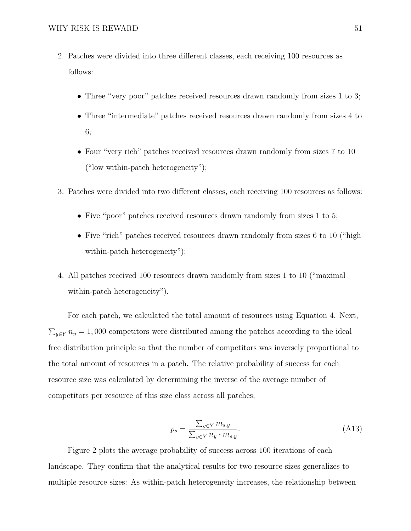- 2. Patches were divided into three different classes, each receiving 100 resources as follows:
	- Three "very poor" patches received resources drawn randomly from sizes 1 to 3;
	- Three "intermediate" patches received resources drawn randomly from sizes 4 to 6;
	- Four "very rich" patches received resources drawn randomly from sizes 7 to 10 ("low within-patch heterogeneity");
- 3. Patches were divided into two different classes, each receiving 100 resources as follows:
	- Five "poor" patches received resources drawn randomly from sizes 1 to 5;
	- Five "rich" patches received resources drawn randomly from sizes 6 to 10 ("high within-patch heterogeneity");
- 4. All patches received 100 resources drawn randomly from sizes 1 to 10 ("maximal within-patch heterogeneity").

For each patch, we calculated the total amount of resources using Equation [4.](#page-9-0) Next,  $\sum_{y \in Y} n_y = 1,000$  competitors were distributed among the patches according to the ideal free distribution principle so that the number of competitors was inversely proportional to the total amount of resources in a patch. The relative probability of success for each resource size was calculated by determining the inverse of the average number of competitors per resource of this size class across all patches,

$$
p_s = \frac{\sum_{y \in Y} m_{s,y}}{\sum_{y \in Y} n_y \cdot m_{s,y}}.\tag{A13}
$$

Figure [2](#page-14-0) plots the average probability of success across 100 iterations of each landscape. They confirm that the analytical results for two resource sizes generalizes to multiple resource sizes: As within-patch heterogeneity increases, the relationship between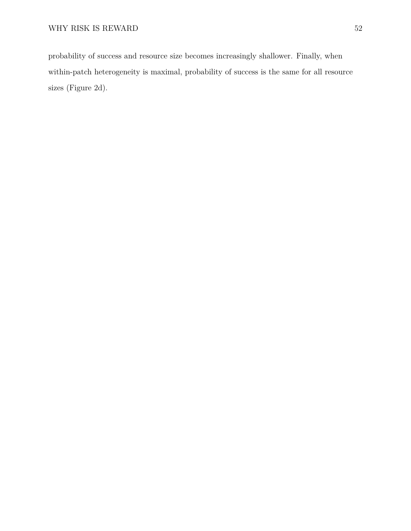probability of success and resource size becomes increasingly shallower. Finally, when within-patch heterogeneity is maximal, probability of success is the same for all resource sizes (Figure [2d](#page-14-0)).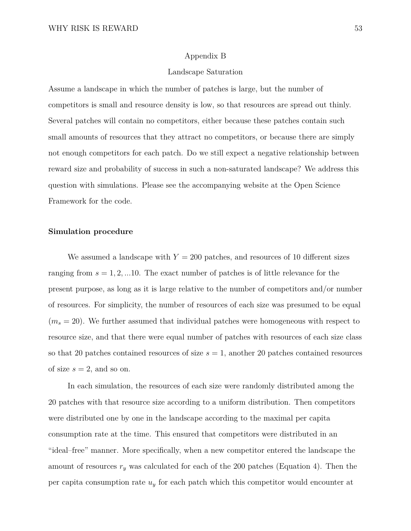#### Appendix B

#### Landscape Saturation

<span id="page-52-0"></span>Assume a landscape in which the number of patches is large, but the number of competitors is small and resource density is low, so that resources are spread out thinly. Several patches will contain no competitors, either because these patches contain such small amounts of resources that they attract no competitors, or because there are simply not enough competitors for each patch. Do we still expect a negative relationship between reward size and probability of success in such a non-saturated landscape? We address this question with simulations. Please see the accompanying website at the Open Science Framework for the code.

#### **Simulation procedure**

We assumed a landscape with  $Y = 200$  patches, and resources of 10 different sizes ranging from *s* = 1*,* 2*, ...*10. The exact number of patches is of little relevance for the present purpose, as long as it is large relative to the number of competitors and/or number of resources. For simplicity, the number of resources of each size was presumed to be equal  $(m_s = 20)$ . We further assumed that individual patches were homogeneous with respect to resource size, and that there were equal number of patches with resources of each size class so that 20 patches contained resources of size  $s = 1$ , another 20 patches contained resources of size  $s = 2$ , and so on.

In each simulation, the resources of each size were randomly distributed among the 20 patches with that resource size according to a uniform distribution. Then competitors were distributed one by one in the landscape according to the maximal per capita consumption rate at the time. This ensured that competitors were distributed in an "ideal–free" manner. More specifically, when a new competitor entered the landscape the amount of resources  $r_y$  was calculated for each of the 200 patches (Equation [4\)](#page-9-0). Then the per capita consumption rate *u<sup>y</sup>* for each patch which this competitor would encounter at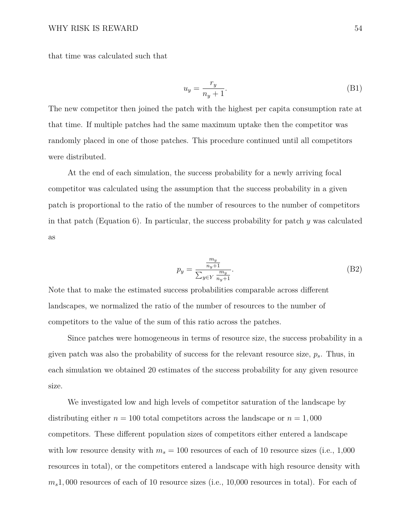that time was calculated such that

$$
u_y = \frac{r_y}{n_y + 1}.\tag{B1}
$$

The new competitor then joined the patch with the highest per capita consumption rate at that time. If multiple patches had the same maximum uptake then the competitor was randomly placed in one of those patches. This procedure continued until all competitors were distributed.

At the end of each simulation, the success probability for a newly arriving focal competitor was calculated using the assumption that the success probability in a given patch is proportional to the ratio of the number of resources to the number of competitors in that patch (Equation [6\)](#page-9-2). In particular, the success probability for patch *y* was calculated as

$$
p_y = \frac{\frac{m_y}{n_y + 1}}{\sum_{y \in Y} \frac{m_y}{n_y + 1}}.
$$
 (B2)

Note that to make the estimated success probabilities comparable across different landscapes, we normalized the ratio of the number of resources to the number of competitors to the value of the sum of this ratio across the patches.

Since patches were homogeneous in terms of resource size, the success probability in a given patch was also the probability of success for the relevant resource size, *ps*. Thus, in each simulation we obtained 20 estimates of the success probability for any given resource size.

We investigated low and high levels of competitor saturation of the landscape by distributing either  $n = 100$  total competitors across the landscape or  $n = 1,000$ competitors. These different population sizes of competitors either entered a landscape with low resource density with  $m_s = 100$  resources of each of 10 resource sizes (i.e., 1,000 resources in total), or the competitors entered a landscape with high resource density with *ms*1*,* 000 resources of each of 10 resource sizes (i.e., 10,000 resources in total). For each of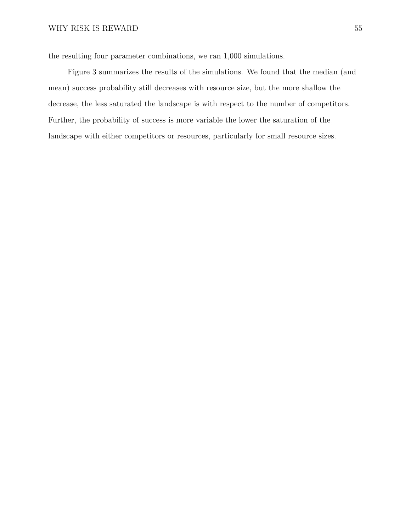the resulting four parameter combinations, we ran 1,000 simulations.

Figure [3](#page-16-0) summarizes the results of the simulations. We found that the median (and mean) success probability still decreases with resource size, but the more shallow the decrease, the less saturated the landscape is with respect to the number of competitors. Further, the probability of success is more variable the lower the saturation of the landscape with either competitors or resources, particularly for small resource sizes.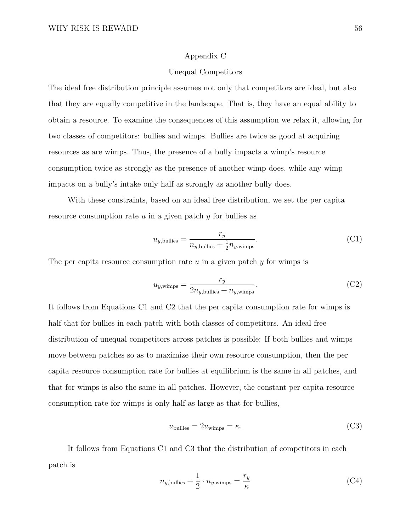#### Appendix C

#### Unequal Competitors

<span id="page-55-0"></span>The ideal free distribution principle assumes not only that competitors are ideal, but also that they are equally competitive in the landscape. That is, they have an equal ability to obtain a resource. To examine the consequences of this assumption we relax it, allowing for two classes of competitors: bullies and wimps. Bullies are twice as good at acquiring resources as are wimps. Thus, the presence of a bully impacts a wimp's resource consumption twice as strongly as the presence of another wimp does, while any wimp impacts on a bully's intake only half as strongly as another bully does.

With these constraints, based on an ideal free distribution, we set the per capita resource consumption rate *u* in a given patch *y* for bullies as

$$
u_{y,\text{bullies}} = \frac{r_y}{n_{y,\text{bullies}} + \frac{1}{2}n_{y,\text{wimps}}}.\tag{C1}
$$

The per capita resource consumption rate *u* in a given patch *y* for wimps is

$$
u_{y,\text{wimps}} = \frac{r_y}{2n_{y,\text{bullies}} + n_{y,\text{wimps}}}.\tag{C2}
$$

It follows from Equations [C1](#page-46-1) and [C2](#page-46-2) that the per capita consumption rate for wimps is half that for bullies in each patch with both classes of competitors. An ideal free distribution of unequal competitors across patches is possible: If both bullies and wimps move between patches so as to maximize their own resource consumption, then the per capita resource consumption rate for bullies at equilibrium is the same in all patches, and that for wimps is also the same in all patches. However, the constant per capita resource consumption rate for wimps is only half as large as that for bullies,

$$
ubullies = 2uwimps = \kappa.
$$
 (C3)

It follows from Equations [C1](#page-46-1) and [C3](#page-47-1) that the distribution of competitors in each patch is

$$
n_{y,\text{bullies}} + \frac{1}{2} \cdot n_{y,\text{wimps}} = \frac{r_y}{\kappa} \tag{C4}
$$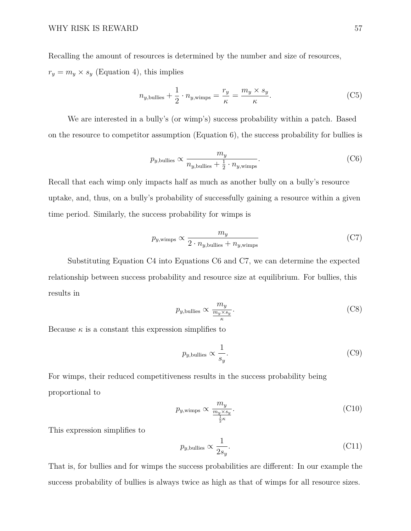Recalling the amount of resources is determined by the number and size of resources,  $r_y = m_y \times s_y$  (Equation [4\)](#page-9-0), this implies

$$
n_{y,\text{bullies}} + \frac{1}{2} \cdot n_{y,\text{wimps}} = \frac{r_y}{\kappa} = \frac{m_y \times s_y}{\kappa}.
$$
 (C5)

We are interested in a bully's (or wimp's) success probability within a patch. Based on the resource to competitor assumption (Equation [6\)](#page-9-2), the success probability for bullies is

$$
p_{y,\text{bullies}} \propto \frac{m_y}{n_{y,\text{bullies}} + \frac{1}{2} \cdot n_{y,\text{wimps}}}.\tag{C6}
$$

Recall that each wimp only impacts half as much as another bully on a bully's resource uptake, and, thus, on a bully's probability of successfully gaining a resource within a given time period. Similarly, the success probability for wimps is

$$
p_{y,\text{wimps}} \propto \frac{m_y}{2 \cdot n_{y,\text{bullies}} + n_{y,\text{wimps}}} \tag{C7}
$$

Substituting Equation [C4](#page-47-2) into Equations [C6](#page-47-3) and [C7,](#page-47-0) we can determine the expected relationship between success probability and resource size at equilibrium. For bullies, this results in

$$
p_{y,\text{bullies}} \propto \frac{m_y}{\frac{m_y \times s_y}{\kappa}}.\tag{C8}
$$

Because  $\kappa$  is a constant this expression simplifies to

$$
p_{y,\text{bullies}} \propto \frac{1}{s_y}.\tag{C9}
$$

For wimps, their reduced competitiveness results in the success probability being proportional to

$$
p_{y,\text{wimps}} \propto \frac{m_y}{\frac{m_y \times s_y}{\frac{1}{2}\kappa}}.\tag{C10}
$$

This expression simplifies to

$$
p_{y,\text{bullies}} \propto \frac{1}{2s_y}.\tag{C11}
$$

That is, for bullies and for wimps the success probabilities are different: In our example the success probability of bullies is always twice as high as that of wimps for all resource sizes.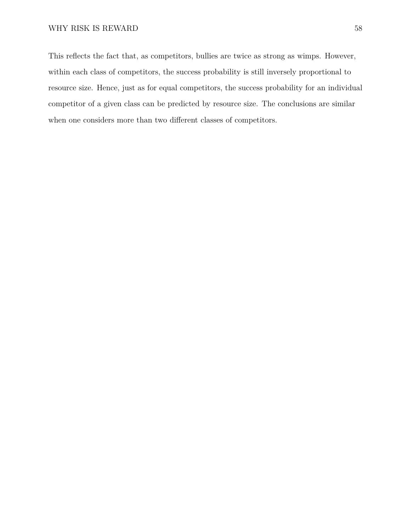This reflects the fact that, as competitors, bullies are twice as strong as wimps. However, within each class of competitors, the success probability is still inversely proportional to resource size. Hence, just as for equal competitors, the success probability for an individual competitor of a given class can be predicted by resource size. The conclusions are similar when one considers more than two different classes of competitors.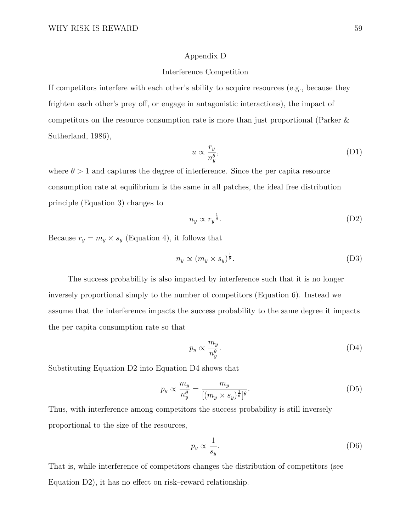#### Appendix D

#### Interference Competition

<span id="page-58-0"></span>If competitors interfere with each other's ability to acquire resources (e.g., because they frighten each other's prey off, or engage in antagonistic interactions), the impact of competitors on the resource consumption rate is more than just proportional [\(Parker &](#page-42-5) [Sutherland,](#page-42-5) [1986\)](#page-42-5),

$$
u \propto \frac{r_y}{n_y^{\theta}},\tag{D1}
$$

where  $\theta > 1$  and captures the degree of interference. Since the per capita resource consumption rate at equilibrium is the same in all patches, the ideal free distribution principle (Equation [3\)](#page-7-0) changes to

$$
n_y \propto r_y^{\frac{1}{\theta}}.\tag{D2}
$$

Because  $r_y = m_y \times s_y$  (Equation [4\)](#page-9-0), it follows that

$$
n_y \propto (m_y \times s_y)^{\frac{1}{\theta}}.\tag{D3}
$$

The success probability is also impacted by interference such that it is no longer inversely proportional simply to the number of competitors (Equation [6\)](#page-9-2). Instead we assume that the interference impacts the success probability to the same degree it impacts the per capita consumption rate so that

$$
p_y \propto \frac{m_y}{n_y^{\theta}}.\tag{D4}
$$

Substituting Equation [D2](#page-46-2) into Equation [D4](#page-47-2) shows that

$$
p_y \propto \frac{m_y}{n_y^{\theta}} = \frac{m_y}{[(m_y \times s_y)^{\frac{1}{\theta}}]^{\theta}}.
$$
 (D5)

Thus, with interference among competitors the success probability is still inversely proportional to the size of the resources,

$$
p_y \propto \frac{1}{s_y}.\tag{D6}
$$

That is, while interference of competitors changes the distribution of competitors (see Equation [D2\)](#page-46-2), it has no effect on risk–reward relationship.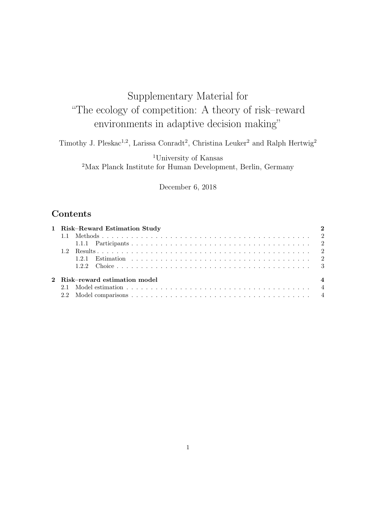# Supplementary Material for "The ecology of competition: A theory of risk–reward environments in adaptive decision making"

Timothy J. Pleskac<sup>1,2</sup>, Larissa Conradt<sup>2</sup>, Christina Leuker<sup>2</sup> and Ralph Hertwig<sup>2</sup>

<sup>1</sup>University of Kansas <sup>2</sup>Max Planck Institute for Human Development, Berlin, Germany

December 6, 2018

# **Contents**

|                                                  | 1 Risk-Reward Estimation Study |  |  |
|--------------------------------------------------|--------------------------------|--|--|
|                                                  |                                |  |  |
|                                                  |                                |  |  |
|                                                  |                                |  |  |
|                                                  |                                |  |  |
|                                                  |                                |  |  |
| $\overline{4}$<br>2 Risk-reward estimation model |                                |  |  |
|                                                  |                                |  |  |
|                                                  |                                |  |  |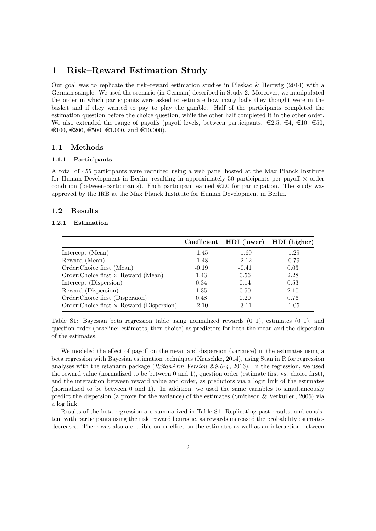## <span id="page-60-0"></span>1 Risk–Reward Estimation Study

Our goal was to replicate the risk–reward estimation studies in [Pleskac & Hertwig](#page-63-0) [\(2014\)](#page-63-0) with a German sample. We used the scenario (in German) described in Study 2. Moreover, we manipulated the order in which participants were asked to estimate how many balls they thought were in the basket and if they wanted to pay to play the gamble. Half of the participants completed the estimation question before the choice question, while the other half completed it in the other order. We also extended the range of payoffs (payoff levels, between participants:  $\in 2.5, \in 4, \in 10, \in 50$ ,  $\epsilon$ 100,  $\epsilon$ 200,  $\epsilon$ 500,  $\epsilon$ 1,000, and  $\epsilon$ 10,000).

#### <span id="page-60-1"></span>1.1 Methods

#### <span id="page-60-2"></span>1.1.1 Participants

A total of 455 participants were recruited using a web panel hosted at the Max Planck Institute for Human Development in Berlin, resulting in approximately 50 participants per payoff  $\times$  order condition (between-participants). Each participant earned  $\epsilon$ 2.0 for participation. The study was approved by the IRB at the Max Planck Institute for Human Development in Berlin.

#### <span id="page-60-3"></span>1.2 Results

#### <span id="page-60-4"></span>1.2.1 Estimation

|                                                  |         |         | Coefficient HDI (lower) HDI (higher) |
|--------------------------------------------------|---------|---------|--------------------------------------|
| Intercept (Mean)                                 | $-1.45$ | $-1.60$ | $-1.29$                              |
| Reward (Mean)                                    | $-1.48$ | $-2.12$ | $-0.79$                              |
| Order:Choice first (Mean)                        | $-0.19$ | $-0.41$ | 0.03                                 |
| Order:Choice first $\times$ Reward (Mean)        | 1.43    | 0.56    | 2.28                                 |
| Intercept (Dispersion)                           | 0.34    | 0.14    | 0.53                                 |
| Reward (Dispersion)                              | 1.35    | 0.50    | 2.10                                 |
| Order:Choice first (Dispersion)                  | 0.48    | 0.20    | 0.76                                 |
| Order: Choice first $\times$ Reward (Dispersion) | $-2.10$ | $-3.11$ | $-1.05$                              |

<span id="page-60-5"></span>Table S1: Bayesian beta regression table using normalized rewards  $(0-1)$ , estimates  $(0-1)$ , and question order (baseline: estimates, then choice) as predictors for both the mean and the dispersion of the estimates.

We modeled the effect of payoff on the mean and dispersion (variance) in the estimates using a beta regression with Bayesian estimation techniques [\(Kruschke,](#page-63-1) [2014\)](#page-63-1), using Stan in R for regression analyses with the rstanarm package ( $RStanArm Version 2.9.0-4$ , [2016\)](#page-63-2). In the regression, we used the reward value (normalized to be between 0 and 1), question order (estimate first vs. choice first), and the interaction between reward value and order, as predictors via a logit link of the estimates (normalized to be between 0 and 1). In addition, we used the same variables to simultaneously predict the dispersion (a proxy for the variance) of the estimates [\(Smithson & Verkuilen,](#page-63-3) [2006\)](#page-63-3) via a log link.

Results of the beta regression are summarized in Table [S1.](#page-60-5) Replicating past results, and consistent with participants using the risk–reward heuristic, as rewards increased the probability estimates decreased. There was also a credible order effect on the estimates as well as an interaction between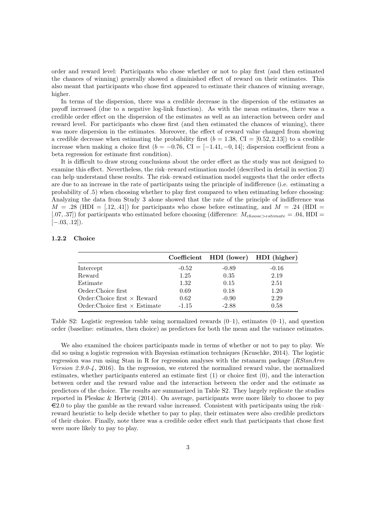order and reward level: Participants who chose whether or not to play first (and then estimated the chances of winning) generally showed a diminished effect of reward on their estimates. This also meant that participants who chose first appeared to estimate their chances of winning average, higher.

In terms of the dispersion, there was a credible decrease in the dispersion of the estimates as payoff increased (due to a negative log-link function). As with the mean estimates, there was a credible order effect on the dispersion of the estimates as well as an interaction between order and reward level. For participants who chose first (and then estimated the chances of winning), there was more dispersion in the estimates. Moreover, the effect of reward value changed from showing a credible decrease when estimating the probability first  $(b = 1.38, \text{ CI} = [0.52, 2.13])$  to a credible increase when making a choice first ( $b = -0.76$ , CI = [-1.41, -0, 14]; dispersion coefficient from a beta regression for estimate first condition).

It is difficult to draw strong conclusions about the order effect as the study was not designed to examine this effect. Nevertheless, the risk–reward estimation model (described in detail in section 2) can help understand these results. The risk–reward estimation model suggests that the order effects are due to an increase in the rate of participants using the principle of indifference (i.e. estimating a probability of .5) when choosing whether to play first compared to when estimating before choosing: Analyzing the data from Study 3 alone showed that the rate of the principle of indifference was  $M = .28$  (HDI = [.12, .41]) for participants who chose before estimating, and  $M = .24$  (HDI = [.07, .37]) for participants who estimated before choosing (difference:  $M_{choose\geq estimate} = .04$ , HDI =  $[-.03, .12]$ ).

#### <span id="page-61-0"></span>1.2.2 Choice

|                                       |         | Coefficient HDI (lower) HDI (higher) |         |
|---------------------------------------|---------|--------------------------------------|---------|
| Intercept                             | $-0.52$ | $-0.89$                              | $-0.16$ |
| Reward                                | 1.25    | 0.35                                 | 2.19    |
| Estimate                              | 1.32    | 0.15                                 | 2.51    |
| Order:Choice first                    | 0.69    | 0.18                                 | 1.20    |
| Order: Choice first $\times$ Reward   | 0.62    | $-0.90$                              | 2.29    |
| $Order: Choice first \times Estimate$ | $-1.15$ | $-2.88$                              | 0.58    |

<span id="page-61-1"></span>Table S2: Logistic regression table using normalized rewards  $(0-1)$ , estimates  $(0-1)$ , and question order (baseline: estimates, then choice) as predictors for both the mean and the variance estimates.

We also examined the choices participants made in terms of whether or not to pay to play. We did so using a logistic regression with Bayesian estimation techniques [\(Kruschke,](#page-63-1) [2014\)](#page-63-1). The logistic regression was run using Stan in R for regression analyses with the rstanarm package ([RStanArm](#page-63-2) [Version 2.9.0-4](#page-63-2), [2016\)](#page-63-2). In the regression, we entered the normalized reward value, the normalized estimates, whether participants entered an estimate first (1) or choice first (0), and the interaction between order and the reward value and the interaction between the order and the estimate as predictors of the choice. The results are summarized in Table [S2.](#page-61-1) They largely replicate the studies reported in [Pleskac & Hertwig](#page-63-0) [\(2014\)](#page-63-0). On average, participants were more likely to choose to pay  $\epsilon$ 2.0 to play the gamble as the reward value increased. Consistent with participants using the risk– reward heuristic to help decide whether to pay to play, their estimates were also credible predictors of their choice. Finally, note there was a credible order effect such that participants that chose first were more likely to pay to play.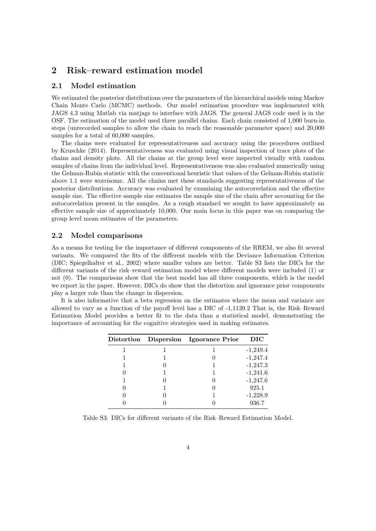# <span id="page-62-0"></span>2 Risk–reward estimation model

#### <span id="page-62-1"></span>2.1 Model estimation

We estimated the posterior distributions over the parameters of the hierarchical models using Markov Chain Monte Carlo (MCMC) methods. Our model estimation procedure was implemented with JAGS 4.3 using Matlab via matjags to interface with JAGS. The general JAGS code used is in the OSF. The estimation of the model used three parallel chains. Each chain consisted of 1,000 burn-in steps (unrecorded samples to allow the chain to reach the reasonable parameter space) and 20,000 samples for a total of 60,000 samples.

The chains were evaluated for representativeness and accuracy using the procedures outlined by [Kruschke](#page-63-1) [\(2014\)](#page-63-1). Representativeness was evaluated using visual inspection of trace plots of the chains and density plots. All the chains at the group level were inspected visually with random samples of chains from the individual level. Representativeness was also evaluated numerically using the Gelman-Rubin statistic with the conventional heuristic that values of the Gelman-Rubin statistic above 1.1 were worrisome. All the chains met these standards suggesting representativeness of the posterior distributions. Accuracy was evaluated by examining the autocorrelation and the effective sample size. The effective sample size estimates the sample size of the chain after accounting for the autocorrelation present in the samples. As a rough standard we sought to have approximately an effective sample size of approximately 10,000. Our main focus in this paper was on comparing the group level mean estimates of the parameters.

#### <span id="page-62-2"></span>2.2 Model comparisons

As a means for testing for the importance of different components of the RREM, we also fit several variants. We compared the fits of the different models with the Deviance Information Criterion (DIC; [Spiegelhalter et al.,](#page-63-4) [2002\)](#page-63-4) where smaller values are better. Table [S3](#page-62-3) lists the DICs for the different variants of the risk–reward estimation model where different models were included (1) or not (0). The comparisons show that the best model has all three components, which is the model we report in the paper. However, DICs do show that the distortion and ignorance prior components play a larger role than the change in dispersion.

It is also informative that a beta regression on the estimates where the mean and variance are allowed to vary as a function of the payoff level has a DIC of -1,1139.2 That is, the Risk–Reward Estimation Model provides a better fit to the data than a statistical model, demonstrating the importance of accounting for the cognitive strategies used in making estimates.

|  | Distortion Dispersion Ignorance Prior | DIC        |
|--|---------------------------------------|------------|
|  |                                       | $-1,249.4$ |
|  |                                       | $-1,247.4$ |
|  |                                       | $-1,247.3$ |
|  |                                       | $-1,241.6$ |
|  |                                       | $-1,247.6$ |
|  |                                       | 925.1      |
|  |                                       | $-1,228.9$ |
|  |                                       | 936.7      |

<span id="page-62-3"></span>Table S3: DICs for different variants of the Risk–Reward Estimation Model.